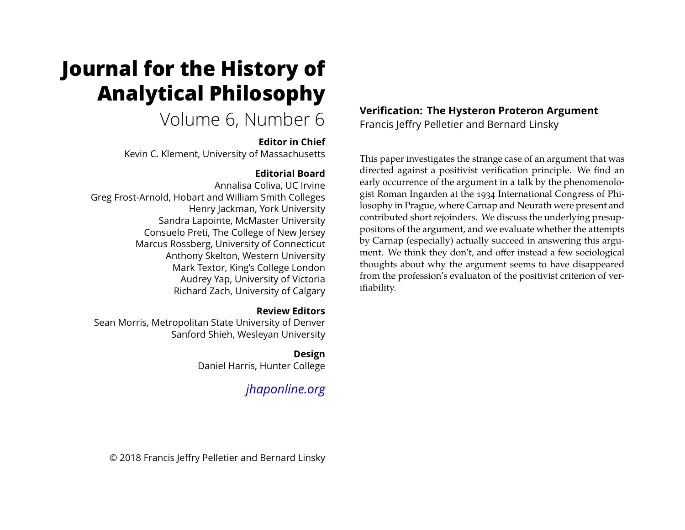# **Journal for the History of Analytical Philosophy**

# Volume 6, Number 6

# **Editor in Chief**

Kevin C. Klement, University of Massachusetts

# **Editorial Board**

Annalisa Coliva, UC Irvine Greg Frost-Arnold, Hobart and William Smith Colleges Henry Jackman, York University Sandra Lapointe, McMaster University Consuelo Preti, The College of New Jersey Marcus Rossberg, University of Connecticut Anthony Skelton, Western University Mark Textor, King's College London Audrey Yap, University of Victoria Richard Zach, University of Calgary

# **Review Editors**

Sean Morris, Metropolitan State University of Denver Sanford Shieh, Wesleyan University

# **Design**

Daniel Harris, Hunter College

# *[jhaponline.org](https://jhaponline.org)*

# **Verification: The Hysteron Proteron Argument** Francis Jeffry Pelletier and Bernard Linsky

This paper investigates the strange case of an argument that was directed against a positivist verification principle. We find an early occurrence of the argument in a talk by the phenomenologist Roman Ingarden at the 1934 International Congress of Philosophy in Prague, where Carnap and Neurath were present and contributed short rejoinders. We discuss the underlying presuppositons of the argument, and we evaluate whether the attempts by Carnap (especially) actually succeed in answering this argument. We think they don't, and offer instead a few sociological thoughts about why the argument seems to have disappeared from the profession's evaluaton of the positivist criterion of verifiability.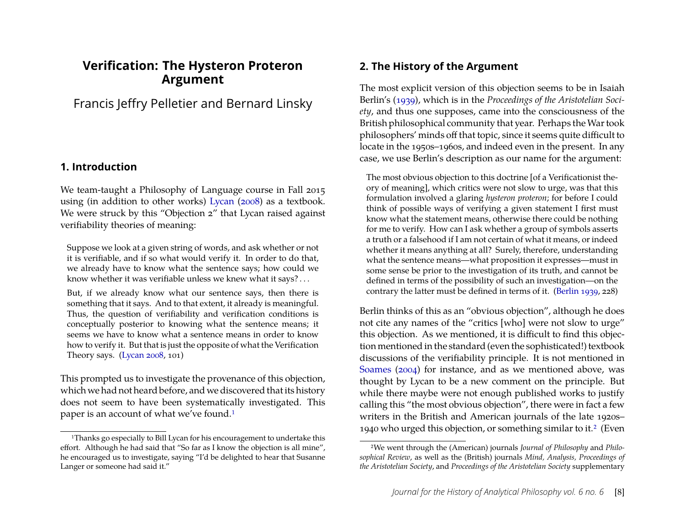# **Verification: The Hysteron Proteron Argument**

Francis Jeffry Pelletier and Bernard Linsky

#### **1. Introduction**

We team-taught a Philosophy of Language course in Fall 2015 using (in addition to other works) [Lycan](#page-27-0) [\(2008\)](#page-27-0) as a textbook. We were struck by this "Objection 2" that Lycan raised against verifiability theories of meaning:

Suppose we look at a given string of words, and ask whether or not it is verifiable, and if so what would verify it. In order to do that, we already have to know what the sentence says; how could we know whether it was verifiable unless we knew what it says? . . .

But, if we already know what our sentence says, then there is something that it says. And to that extent, it already is meaningful. Thus, the question of verifiability and verification conditions is conceptually posterior to knowing what the sentence means; it seems we have to know what a sentence means in order to know how to verify it. But that is just the opposite of what the Verification Theory says. [\(Lycan](#page-27-0) [2008,](#page-27-0) 101)

This prompted us to investigate the provenance of this objection, which we had not heard before, and we discovered that its history does not seem to have been systematically investigated. This paper is an account of what we've found.<sup>1</sup>

#### <span id="page-1-2"></span>**2. The History of the Argument**

The most explicit version of this objection seems to be in Isaiah Berlin's [\(1939\)](#page-25-0), which is in the *Proceedings of the Aristotelian Society*, and thus one supposes, came into the consciousness of the British philosophical community that year. Perhaps theWar took philosophers' minds off that topic, since it seems quite difficult to locate in the 1950s–1960s, and indeed even in the present. In any case, we use Berlin's description as our name for the argument:

The most obvious objection to this doctrine [of a Verificationist theory of meaning], which critics were not slow to urge, was that this formulation involved a glaring *hysteron proteron*; for before I could think of possible ways of verifying a given statement I first must know what the statement means, otherwise there could be nothing for me to verify. How can I ask whether a group of symbols asserts a truth or a falsehood if I am not certain of what it means, or indeed whether it means anything at all? Surely, therefore, understanding what the sentence means—what proposition it expresses—must in some sense be prior to the investigation of its truth, and cannot be defined in terms of the possibility of such an investigation—on the contrary the latter must be defined in terms of it. [\(Berlin](#page-25-0) [1939,](#page-25-0) 228)

Berlin thinks of this as an "obvious objection", although he does not cite any names of the "critics [who] were not slow to urge" this objection. As we mentioned, it is difficult to find this objection mentioned in the standard (even the sophisticated!) textbook discussions of the verifiability principle. It is not mentioned in [Soames](#page-28-0) [\(2004\)](#page-28-0) for instance, and as we mentioned above, was thought by Lycan to be a new comment on the principle. But while there maybe were not enough published works to justify calling this "the most obvious objection", there were in fact a few writers in the British and American journals of the late 1920s– 1940 who urged this objection, or something similar to it[.2](#page-1-1) (Even

<span id="page-1-0"></span><sup>&</sup>lt;sup>1</sup>Thanks go especially to Bill Lycan for his encouragement to undertake this effort. Although he had said that "So far as I know the objection is all mine", he encouraged us to investigate, saying "I'd be delighted to hear that Susanne Langer or someone had said it."

<span id="page-1-1"></span><sup>2</sup>We went through the (American) journals *Journal of Philosophy* and *Philosophical Review*, as well as the (British) journals *Mind, Analysis, Proceedings of the Aristotelian Society*, and *Proceedings of the Aristotelian Society* supplementary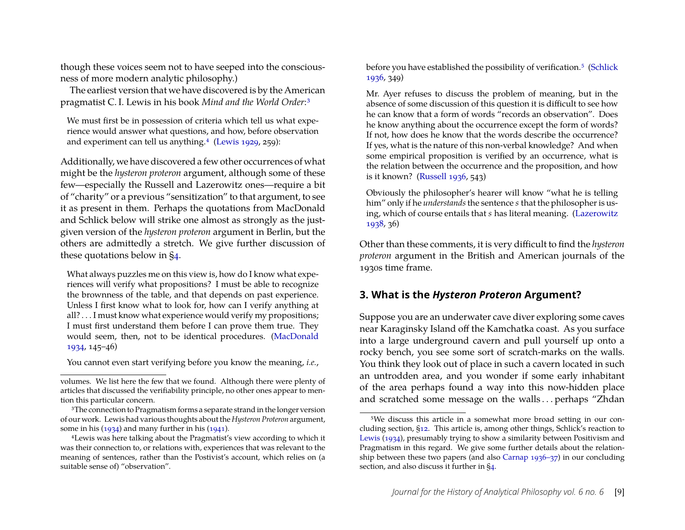though these voices seem not to have seeped into the consciousness of more modern analytic philosophy.)

The earliest version that we have discovered is by the American pragmatist C. I. Lewis in his book *Mind and the World Order*[:3](#page-2-0)

We must first be in possession of criteria which tell us what experience would answer what questions, and how, before observation and experiment can tell us anything.<sup>4</sup> [\(Lewis](#page-27-1) [1929,](#page-27-1) 259):

Additionally, we have discovered a few other occurrences of what might be the *hysteron proteron* argument, although some of these few—especially the Russell and Lazerowitz ones—require a bit of "charity" or a previous "sensitization" to that argument, to see it as present in them. Perhaps the quotations from MacDonald and Schlick below will strike one almost as strongly as the justgiven version of the *hysteron proteron* argument in Berlin, but the others are admittedly a stretch. We give further discussion of these quotations below in [§4.](#page-5-0)

What always puzzles me on this view is, how do I know what experiences will verify what propositions? I must be able to recognize the brownness of the table, and that depends on past experience. Unless I first know what to look for, how can I verify anything at all? . . . I must know what experience would verify my propositions; I must first understand them before I can prove them true. They would seem, then, not to be identical procedures. [\(MacDonald](#page-27-2) [1934,](#page-27-2) 145–46)

You cannot even start verifying before you know the meaning, *i.e.*,

before you have established the possibility of verification.<sup>5</sup> [\(Schlick](#page-28-1) [1936,](#page-28-1) 349)

Mr. Ayer refuses to discuss the problem of meaning, but in the absence of some discussion of this question it is difficult to see how he can know that a form of words "records an observation". Does he know anything about the occurrence except the form of words? If not, how does he know that the words describe the occurrence? If yes, what is the nature of this non-verbal knowledge? And when some empirical proposition is verified by an occurrence, what is the relation between the occurrence and the proposition, and how is it known? [\(Russell](#page-28-2) [1936,](#page-28-2) 543)

Obviously the philosopher's hearer will know "what he is telling him" only if he *understands*the sentence *s* that the philosopher is using, which of course entails that *s* has literal meaning. [\(Lazerowitz](#page-27-5) [1938,](#page-27-5) 36)

Other than these comments, it is very difficult to find the *hysteron proteron* argument in the British and American journals of the 1930s time frame.

# <span id="page-2-3"></span>**3. What is the** *Hysteron Proteron* **Argument?**

Suppose you are an underwater cave diver exploring some caves near Karaginsky Island off the Kamchatka coast. As you surface into a large underground cavern and pull yourself up onto a rocky bench, you see some sort of scratch-marks on the walls. You think they look out of place in such a cavern located in such an untrodden area, and you wonder if some early inhabitant of the area perhaps found a way into this now-hidden place and scratched some message on the walls . . . perhaps "Zhdan

volumes. We list here the few that we found. Although there were plenty of articles that discussed the verifiability principle, no other ones appear to mention this particular concern.

<span id="page-2-0"></span><sup>&</sup>lt;sup>3</sup>The connection to Pragmatism forms a separate strand in the longer version of our work. Lewis had various thoughts about the*Hysteron Proteron* argument, some in his  $(1934)$  and many further in his  $(1941)$ .

<span id="page-2-1"></span><sup>4</sup>Lewis was here talking about the Pragmatist's view according to which it was their connection to, or relations with, experiences that was relevant to the meaning of sentences, rather than the Postivist's account, which relies on (a suitable sense of) "observation".

<span id="page-2-2"></span><sup>5</sup>We discuss this article in a somewhat more broad setting in our concluding section, [§12.](#page-23-0) This article is, among other things, Schlick's reaction to [Lewis](#page-27-3) [\(1934\)](#page-27-3), presumably trying to show a similarity between Positivism and Pragmatism in this regard. We give some further details about the relationship between these two papers (and also [Carnap](#page-26-0) [1936–37\)](#page-26-0) in our concluding section, and also discuss it further in [§4.](#page-5-0)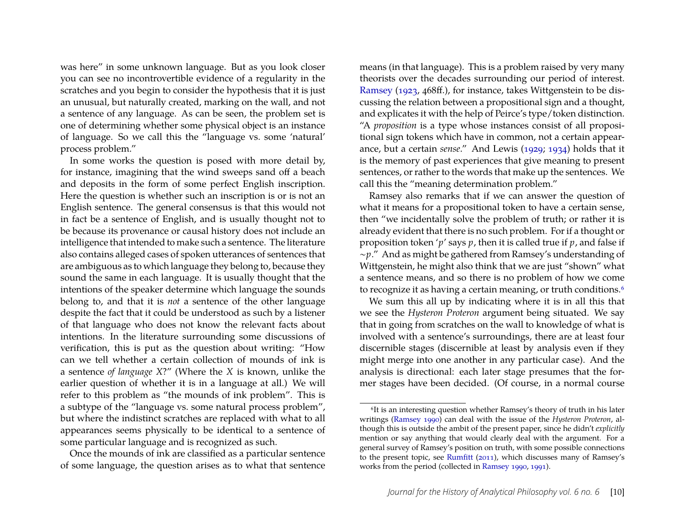was here" in some unknown language. But as you look closer you can see no incontrovertible evidence of a regularity in the scratches and you begin to consider the hypothesis that it is just an unusual, but naturally created, marking on the wall, and not a sentence of any language. As can be seen, the problem set is one of determining whether some physical object is an instance of language. So we call this the "language vs. some 'natural' process problem."

In some works the question is posed with more detail by, for instance, imagining that the wind sweeps sand off a beach and deposits in the form of some perfect English inscription. Here the question is whether such an inscription is or is not an English sentence. The general consensus is that this would not in fact be a sentence of English, and is usually thought not to be because its provenance or causal history does not include an intelligence that intended to make such a sentence. The literature also contains alleged cases of spoken utterances of sentences that are ambiguous as to which language they belong to, because they sound the same in each language. It is usually thought that the intentions of the speaker determine which language the sounds belong to, and that it is *not* a sentence of the other language despite the fact that it could be understood as such by a listener of that language who does not know the relevant facts about intentions. In the literature surrounding some discussions of verification, this is put as the question about writing: "How can we tell whether a certain collection of mounds of ink is a sentence *of language X*?" (Where the *X* is known, unlike the earlier question of whether it is in a language at all.) We will refer to this problem as "the mounds of ink problem". This is a subtype of the "language vs. some natural process problem", but where the indistinct scratches are replaced with what to all appearances seems physically to be identical to a sentence of some particular language and is recognized as such.

Once the mounds of ink are classified as a particular sentence of some language, the question arises as to what that sentence means (in that language). This is a problem raised by very many theorists over the decades surrounding our period of interest. [Ramsey](#page-27-6) [\(1923,](#page-27-6) 468ff.), for instance, takes Wittgenstein to be discussing the relation between a propositional sign and a thought, and explicates it with the help of Peirce's type/token distinction. "A *proposition* is a type whose instances consist of all propositional sign tokens which have in common, not a certain appearance, but a certain *sense*." And Lewis [\(1929;](#page-27-1) [1934\)](#page-27-3) holds that it is the memory of past experiences that give meaning to present sentences, or rather to the words that make up the sentences. We call this the "meaning determination problem."

Ramsey also remarks that if we can answer the question of what it means for a propositional token to have a certain sense, then "we incidentally solve the problem of truth; or rather it is already evident that there is no such problem. For if a thought or proposition token '*p*' says *p*, then it is called true if *p*, and false if ∼*p*." And as might be gathered from Ramsey's understanding of Wittgenstein, he might also think that we are just "shown" what a sentence means, and so there is no problem of how we come to recognize it as having a certain meaning, or truth conditions.<sup>6</sup>

We sum this all up by indicating where it is in all this that we see the *Hysteron Proteron* argument being situated. We say that in going from scratches on the wall to knowledge of what is involved with a sentence's surroundings, there are at least four discernible stages (discernible at least by analysis even if they might merge into one another in any particular case). And the analysis is directional: each later stage presumes that the former stages have been decided. (Of course, in a normal course

<span id="page-3-0"></span><sup>6</sup>It is an interesting question whether Ramsey's theory of truth in his later writings [\(Ramsey](#page-28-3) [1990\)](#page-28-3) can deal with the issue of the *Hysteron Proteron*, although this is outside the ambit of the present paper, since he didn't *explicitly* mention or say anything that would clearly deal with the argument. For a general survey of Ramsey's position on truth, with some possible connections to the present topic, see [Rumfitt](#page-28-4) [\(2011\)](#page-28-4), which discusses many of Ramsey's works from the period (collected in [Ramsey](#page-28-3) [1990,](#page-28-3) [1991\)](#page-28-5).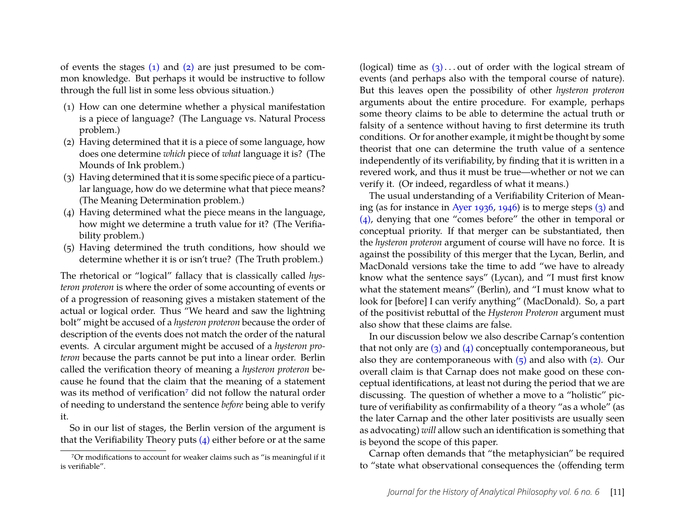of events the stages  $(1)$  and  $(2)$  are just presumed to be common knowledge. But perhaps it would be instructive to follow through the full list in some less obvious situation.)

- <span id="page-4-0"></span>(1) How can one determine whether a physical manifestation is a piece of language? (The Language vs. Natural Process problem.)
- <span id="page-4-1"></span>(2) Having determined that it is a piece of some language, how does one determine *which* piece of *what* language it is? (The Mounds of Ink problem.)
- <span id="page-4-4"></span>(3) Having determined that it is some specific piece of a particular language, how do we determine what that piece means? (The Meaning Determination problem.)
- <span id="page-4-3"></span>(4) Having determined what the piece means in the language, how might we determine a truth value for it? (The Verifiability problem.)
- <span id="page-4-5"></span>(5) Having determined the truth conditions, how should we determine whether it is or isn't true? (The Truth problem.)

The rhetorical or "logical" fallacy that is classically called *hysteron proteron* is where the order of some accounting of events or of a progression of reasoning gives a mistaken statement of the actual or logical order. Thus "We heard and saw the lightning bolt" might be accused of a *hysteron proteron* because the order of description of the events does not match the order of the natural events. A circular argument might be accused of a *hysteron proteron* because the parts cannot be put into a linear order. Berlin called the verification theory of meaning a *hysteron proteron* because he found that the claim that the meaning of a statement was its method of verification<sup>7</sup> did not follow the natural order of needing to understand the sentence *before* being able to verify it.

So in our list of stages, the Berlin version of the argument is that the Verifiability Theory puts [\(4\)](#page-4-3) either before or at the same (logical) time as  $(3)$ ... out of order with the logical stream of events (and perhaps also with the temporal course of nature). But this leaves open the possibility of other *hysteron proteron* arguments about the entire procedure. For example, perhaps some theory claims to be able to determine the actual truth or falsity of a sentence without having to first determine its truth conditions. Or for another example, it might be thought by some theorist that one can determine the truth value of a sentence independently of its verifiability, by finding that it is written in a revered work, and thus it must be true—whether or not we can verify it. (Or indeed, regardless of what it means.)

The usual understanding of a Verifiability Criterion of Meaning (as for instance in [Ayer](#page-25-1) [1936,](#page-25-1) [1946\)](#page-25-2) is to merge steps [\(3\)](#page-4-4) and [\(4\),](#page-4-3) denying that one "comes before" the other in temporal or conceptual priority. If that merger can be substantiated, then the *hysteron proteron* argument of course will have no force. It is against the possibility of this merger that the Lycan, Berlin, and MacDonald versions take the time to add "we have to already know what the sentence says" (Lycan), and "I must first know what the statement means" (Berlin), and "I must know what to look for [before] I can verify anything" (MacDonald). So, a part of the positivist rebuttal of the *Hysteron Proteron* argument must also show that these claims are false.

In our discussion below we also describe Carnap's contention that not only are  $(3)$  and  $(4)$  conceptually contemporaneous, but also they are contemporaneous with  $(5)$  and also with  $(2)$ . Our overall claim is that Carnap does not make good on these conceptual identifications, at least not during the period that we are discussing. The question of whether a move to a "holistic" picture of verifiability as confirmability of a theory "as a whole" (as the later Carnap and the other later positivists are usually seen as advocating) *will* allow such an identification is something that is beyond the scope of this paper.

Carnap often demands that "the metaphysician" be required to "state what observational consequences the (offending term

<span id="page-4-2"></span><sup>7</sup>Or modifications to account for weaker claims such as "is meaningful if it is verifiable".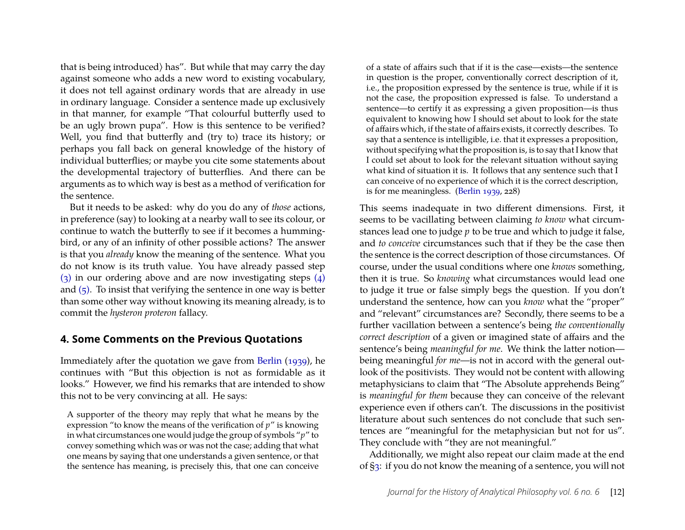that is being introduced) has". But while that may carry the day against someone who adds a new word to existing vocabulary, it does not tell against ordinary words that are already in use in ordinary language. Consider a sentence made up exclusively in that manner, for example "That colourful butterfly used to be an ugly brown pupa". How is this sentence to be verified? Well, you find that butterfly and (try to) trace its history; or perhaps you fall back on general knowledge of the history of individual butterflies; or maybe you cite some statements about the developmental trajectory of butterflies. And there can be arguments as to which way is best as a method of verification for the sentence.

But it needs to be asked: why do you do any of *those* actions, in preference (say) to looking at a nearby wall to see its colour, or continue to watch the butterfly to see if it becomes a hummingbird, or any of an infinity of other possible actions? The answer is that you *already* know the meaning of the sentence. What you do not know is its truth value. You have already passed step [\(3\)](#page-4-4) in our ordering above and are now investigating steps [\(4\)](#page-4-3) and  $(5)$ . To insist that verifying the sentence in one way is better than some other way without knowing its meaning already, is to commit the *hysteron proteron* fallacy.

#### <span id="page-5-0"></span>**4. Some Comments on the Previous Quotations**

Immediately after the quotation we gave from [Berlin](#page-25-0) [\(1939\)](#page-25-0), he continues with "But this objection is not as formidable as it looks." However, we find his remarks that are intended to show this not to be very convincing at all. He says:

A supporter of the theory may reply that what he means by the expression "to know the means of the verification of *p*" is knowing in what circumstances one would judge the group of symbols "*p*" to convey something which was or was not the case; adding that what one means by saying that one understands a given sentence, or that the sentence has meaning, is precisely this, that one can conceive

of a state of affairs such that if it is the case—exists—the sentence in question is the proper, conventionally correct description of it, i.e., the proposition expressed by the sentence is true, while if it is not the case, the proposition expressed is false. To understand a sentence—to certify it as expressing a given proposition—is thus equivalent to knowing how I should set about to look for the state of affairs which, if the state of affairs exists, it correctly describes. To say that a sentence is intelligible, i.e. that it expresses a proposition, without specifying what the proposition is, is to say that I know that I could set about to look for the relevant situation without saying what kind of situation it is. It follows that any sentence such that I can conceive of no experience of which it is the correct description, is for me meaningless. [\(Berlin](#page-25-0) [1939,](#page-25-0) 228)

This seems inadequate in two different dimensions. First, it seems to be vacillating between claiming *to know* what circumstances lead one to judge *p* to be true and which to judge it false, and *to conceive* circumstances such that if they be the case then the sentence is the correct description of those circumstances. Of course, under the usual conditions where one *knows* something, then it is true. So *knowing* what circumstances would lead one to judge it true or false simply begs the question. If you don't understand the sentence, how can you *know* what the "proper" and "relevant" circumstances are? Secondly, there seems to be a further vacillation between a sentence's being *the conventionally correct description* of a given or imagined state of affairs and the sentence's being *meaningful for me*. We think the latter notion being meaningful *for me*—is not in accord with the general outlook of the positivists. They would not be content with allowing metaphysicians to claim that "The Absolute apprehends Being" is *meaningful for them* because they can conceive of the relevant experience even if others can't. The discussions in the positivist literature about such sentences do not conclude that such sentences are "meaningful for the metaphysician but not for us". They conclude with "they are not meaningful."

Additionally, we might also repeat our claim made at the end of [§3:](#page-2-3) if you do not know the meaning of a sentence, you will not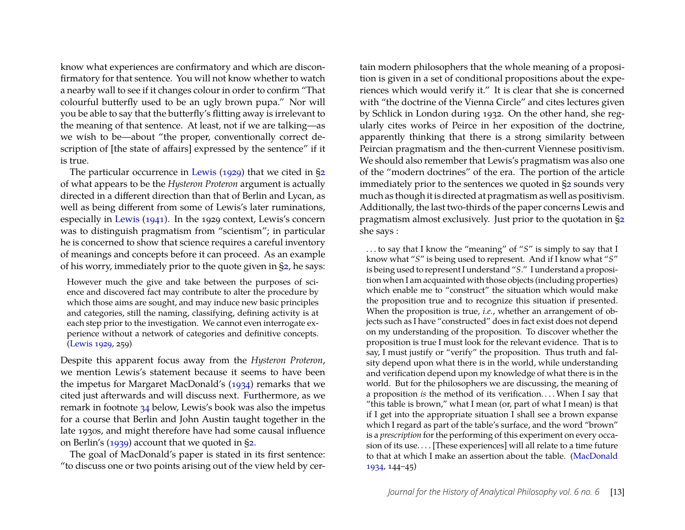know what experiences are confirmatory and which are disconfirmatory for that sentence. You will not know whether to watch a nearby wall to see if it changes colour in order to confirm "That colourful butterfly used to be an ugly brown pupa." Nor will you be able to say that the butterfly's flitting away is irrelevant to the meaning of that sentence. At least, not if we are talking—as we wish to be—about "the proper, conventionally correct description of [the state of affairs] expressed by the sentence" if it is true.

The particular occurrence in [Lewis](#page-27-1) [\(1929\)](#page-27-1) that we cited in [§2](#page-1-2) of what appears to be the *Hysteron Proteron* argument is actually directed in a different direction than that of Berlin and Lycan, as well as being different from some of Lewis's later ruminations, especially in [Lewis](#page-27-4) [\(1941\)](#page-27-4). In the 1929 context, Lewis's concern was to distinguish pragmatism from "scientism"; in particular he is concerned to show that science requires a careful inventory of meanings and concepts before it can proceed. As an example of his worry, immediately prior to the quote given in [§2,](#page-1-2) he says:

However much the give and take between the purposes of science and discovered fact may contribute to alter the procedure by which those aims are sought, and may induce new basic principles and categories, still the naming, classifying, defining activity is at each step prior to the investigation. We cannot even interrogate experience without a network of categories and definitive concepts. [\(Lewis](#page-27-1) [1929,](#page-27-1) 259)

Despite this apparent focus away from the *Hysteron Proteron*, we mention Lewis's statement because it seems to have been the impetus for Margaret MacDonald's [\(1934\)](#page-27-2) remarks that we cited just afterwards and will discuss next. Furthermore, as we remark in footnote [34](#page-24-0) below, Lewis's book was also the impetus for a course that Berlin and John Austin taught together in the late 1930s, and might therefore have had some causal influence on Berlin's [\(1939\)](#page-25-0) account that we quoted in [§2.](#page-1-2)

The goal of MacDonald's paper is stated in its first sentence: "to discuss one or two points arising out of the view held by cer-

tain modern philosophers that the whole meaning of a proposition is given in a set of conditional propositions about the experiences which would verify it." It is clear that she is concerned with "the doctrine of the Vienna Circle" and cites lectures given by Schlick in London during 1932. On the other hand, she regularly cites works of Peirce in her exposition of the doctrine, apparently thinking that there is a strong similarity between Peircian pragmatism and the then-current Viennese positivism. We should also remember that Lewis's pragmatism was also one of the "modern doctrines" of the era. The portion of the article immediately prior to the sentences we quoted in [§2](#page-1-2) sounds very much as though it is directed at pragmatism as well as positivism. Additionally, the last two-thirds of the paper concerns Lewis and pragmatism almost exclusively. Just prior to the quotation in [§2](#page-1-2) she says :

. . . to say that I know the "meaning" of "*S*" is simply to say that I know what "*S*" is being used to represent. And if I know what "*S*" is being used to represent I understand "*S*." I understand a proposition when I am acquainted with those objects (including properties) which enable me to "construct" the situation which would make the proposition true and to recognize this situation if presented. When the proposition is true, *i.e.*, whether an arrangement of objects such as I have "constructed" does in fact exist does not depend on my understanding of the proposition. To discover whether the proposition is true I must look for the relevant evidence. That is to say, I must justify or "verify" the proposition. Thus truth and falsity depend upon what there is in the world, while understanding and verification depend upon my knowledge of what there is in the world. But for the philosophers we are discussing, the meaning of a proposition *is* the method of its verification. . . . When I say that "this table is brown," what I mean (or, part of what I mean) is that if I get into the appropriate situation I shall see a brown expanse which I regard as part of the table's surface, and the word "brown" is a *prescription* for the performing of this experiment on every occasion of its use. . . . [These experiences] will all relate to a time future to that at which I make an assertion about the table. [\(MacDonald](#page-27-2) [1934,](#page-27-2) 144–45)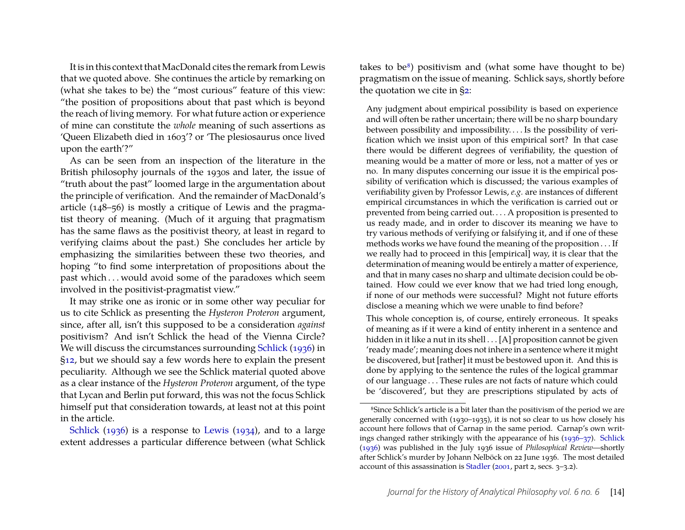It is in this context that MacDonald cites the remark from Lewis that we quoted above. She continues the article by remarking on (what she takes to be) the "most curious" feature of this view: "the position of propositions about that past which is beyond the reach of living memory. For what future action or experience of mine can constitute the *whole* meaning of such assertions as 'Queen Elizabeth died in 1603'? or 'The plesiosaurus once lived upon the earth'?"

As can be seen from an inspection of the literature in the British philosophy journals of the 1930s and later, the issue of "truth about the past" loomed large in the argumentation about the principle of verification. And the remainder of MacDonald's article (148–56) is mostly a critique of Lewis and the pragmatist theory of meaning. (Much of it arguing that pragmatism has the same flaws as the positivist theory, at least in regard to verifying claims about the past.) She concludes her article by emphasizing the similarities between these two theories, and hoping "to find some interpretation of propositions about the past which . . . would avoid some of the paradoxes which seem involved in the positivist-pragmatist view."

It may strike one as ironic or in some other way peculiar for us to cite Schlick as presenting the *Hysteron Proteron* argument, since, after all, isn't this supposed to be a consideration *against* positivism? And isn't Schlick the head of the Vienna Circle? We will discuss the circumstances surrounding [Schlick](#page-28-1) [\(1936\)](#page-28-1) in [§12,](#page-23-0) but we should say a few words here to explain the present peculiarity. Although we see the Schlick material quoted above as a clear instance of the *Hysteron Proteron* argument, of the type that Lycan and Berlin put forward, this was not the focus Schlick himself put that consideration towards, at least not at this point in the article.

[Schlick](#page-28-1) [\(1936\)](#page-28-1) is a response to [Lewis](#page-27-3) [\(1934\)](#page-27-3), and to a large extent addresses a particular difference between (what Schlick takes to be $\delta$ ) positivism and (what some have thought to be) pragmatism on the issue of meaning. Schlick says, shortly before the quotation we cite in [§2:](#page-1-2)

Any judgment about empirical possibility is based on experience and will often be rather uncertain; there will be no sharp boundary between possibility and impossibility. . . . Is the possibility of verification which we insist upon of this empirical sort? In that case there would be different degrees of verifiability, the question of meaning would be a matter of more or less, not a matter of yes or no. In many disputes concerning our issue it is the empirical possibility of verification which is discussed; the various examples of verifiability given by Professor Lewis, *e.g.* are instances of different empirical circumstances in which the verification is carried out or prevented from being carried out. . . . A proposition is presented to us ready made, and in order to discover its meaning we have to try various methods of verifying or falsifying it, and if one of these methods works we have found the meaning of the proposition . . . If we really had to proceed in this [empirical] way, it is clear that the determination of meaning would be entirely a matter of experience, and that in many cases no sharp and ultimate decision could be obtained. How could we ever know that we had tried long enough, if none of our methods were successful? Might not future efforts disclose a meaning which we were unable to find before?

This whole conception is, of course, entirely erroneous. It speaks of meaning as if it were a kind of entity inherent in a sentence and hidden in it like a nut in its shell . . . [A] proposition cannot be given 'ready made'; meaning does not inhere in a sentence where it might be discovered, but [rather] it must be bestowed upon it. And this is done by applying to the sentence the rules of the logical grammar of our language . . . These rules are not facts of nature which could be 'discovered', but they are prescriptions stipulated by acts of

<span id="page-7-0"></span><sup>&</sup>lt;sup>8</sup>Since Schlick's article is a bit later than the positivism of the period we are generally concerned with (1930–1935), it is not so clear to us how closely his account here follows that of Carnap in the same period. Carnap's own writings changed rather strikingly with the appearance of his [\(1936–37\)](#page-26-0). [Schlick](#page-28-1) [\(1936\)](#page-28-1) was published in the July 1936 issue of *Philosophical Review*—shortly after Schlick's murder by Johann Nelböck on 22 June 1936. The most detailed account of this assassination is [Stadler](#page-28-6) [\(2001,](#page-28-6) part 2, secs. 3–3.2).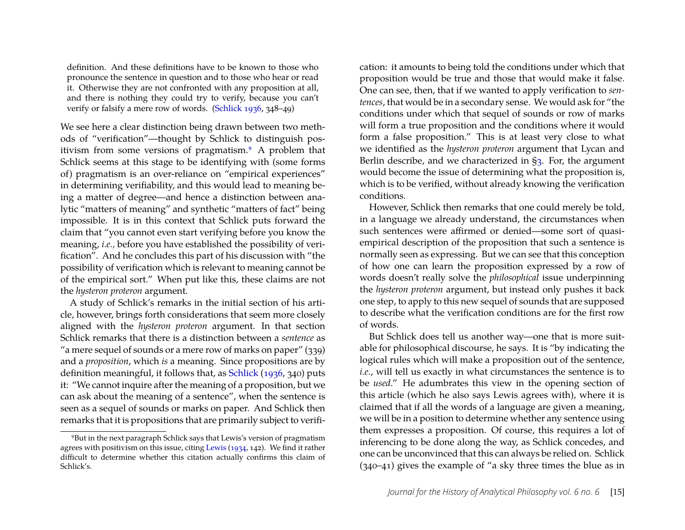definition. And these definitions have to be known to those who pronounce the sentence in question and to those who hear or read it. Otherwise they are not confronted with any proposition at all, and there is nothing they could try to verify, because you can't verify or falsify a mere row of words. [\(Schlick](#page-28-1) [1936,](#page-28-1) 348–49)

We see here a clear distinction being drawn between two methods of "verification"—thought by Schlick to distinguish positivism from some versions of pragmatism[.9](#page-8-0) A problem that Schlick seems at this stage to be identifying with (some forms of) pragmatism is an over-reliance on "empirical experiences" in determining verifiability, and this would lead to meaning being a matter of degree—and hence a distinction between analytic "matters of meaning" and synthetic "matters of fact" being impossible. It is in this context that Schlick puts forward the claim that "you cannot even start verifying before you know the meaning, *i.e.,* before you have established the possibility of verification". And he concludes this part of his discussion with "the possibility of verification which is relevant to meaning cannot be of the empirical sort." When put like this, these claims are not the *hysteron proteron* argument.

A study of Schlick's remarks in the initial section of his article, however, brings forth considerations that seem more closely aligned with the *hysteron proteron* argument. In that section Schlick remarks that there is a distinction between a *sentence* as "a mere sequel of sounds or a mere row of marks on paper" (339) and a *proposition*, which *is* a meaning. Since propositions are by definition meaningful, it follows that, as [Schlick](#page-28-1) [\(1936,](#page-28-1) 340) puts it: "We cannot inquire after the meaning of a proposition, but we can ask about the meaning of a sentence", when the sentence is seen as a sequel of sounds or marks on paper. And Schlick then remarks that it is propositions that are primarily subject to verification: it amounts to being told the conditions under which that proposition would be true and those that would make it false. One can see, then, that if we wanted to apply verification to *sentences*, that would be in a secondary sense. We would ask for "the conditions under which that sequel of sounds or row of marks will form a true proposition and the conditions where it would form a false proposition." This is at least very close to what we identified as the *hysteron proteron* argument that Lycan and Berlin describe, and we characterized in [§3.](#page-2-3) For, the argument would become the issue of determining what the proposition is, which is to be verified, without already knowing the verification conditions.

However, Schlick then remarks that one could merely be told, in a language we already understand, the circumstances when such sentences were affirmed or denied—some sort of quasiempirical description of the proposition that such a sentence is normally seen as expressing. But we can see that this conception of how one can learn the proposition expressed by a row of words doesn't really solve the *philosophical* issue underpinning the *hysteron proteron* argument, but instead only pushes it back one step, to apply to this new sequel of sounds that are supposed to describe what the verification conditions are for the first row of words.

But Schlick does tell us another way—one that is more suitable for philosophical discourse, he says. It is "by indicating the logical rules which will make a proposition out of the sentence, *i.e.*, will tell us exactly in what circumstances the sentence is to be *used*." He adumbrates this view in the opening section of this article (which he also says Lewis agrees with), where it is claimed that if all the words of a language are given a meaning, we will be in a position to determine whether any sentence using them expresses a proposition. Of course, this requires a lot of inferencing to be done along the way, as Schlick concedes, and one can be unconvinced that this can always be relied on. Schlick (340–41) gives the example of "a sky three times the blue as in

<span id="page-8-0"></span><sup>9</sup>But in the next paragraph Schlick says that Lewis's version of pragmatism agrees with positivism on this issue, citing [Lewis](#page-27-3) [\(1934,](#page-27-3) 142). We find it rather difficult to determine whether this citation actually confirms this claim of Schlick's.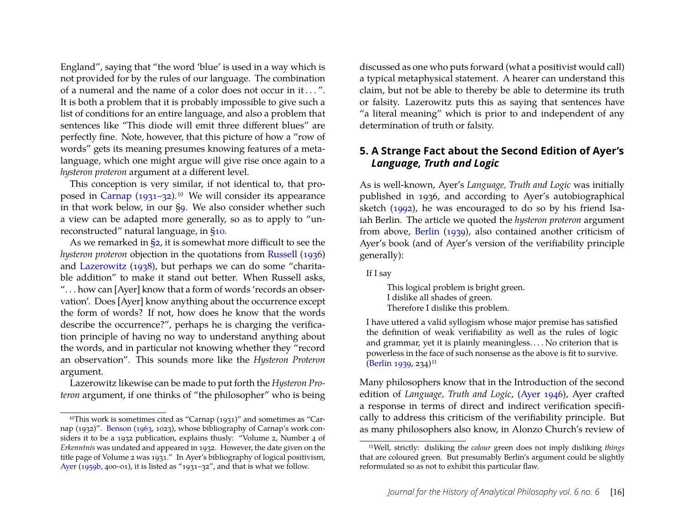England", saying that "the word 'blue' is used in a way which is not provided for by the rules of our language. The combination of a numeral and the name of a color does not occur in it . . . ". It is both a problem that it is probably impossible to give such a list of conditions for an entire language, and also a problem that sentences like "This diode will emit three different blues" are perfectly fine. Note, however, that this picture of how a "row of words" gets its meaning presumes knowing features of a metalanguage, which one might argue will give rise once again to a *hysteron proteron* argument at a different level.

This conception is very similar, if not identical to, that pro-posed in [Carnap](#page-25-3)  $(1931-32)$ .<sup>10</sup> We will consider its appearance in that work below, in our [§9.](#page-17-0) We also consider whether such a view can be adapted more generally, so as to apply to "unreconstructed" natural language, in [§10.](#page-19-0)

As we remarked in [§2,](#page-1-2) it is somewhat more difficult to see the *hysteron proteron* objection in the quotations from [Russell](#page-28-2) [\(1936\)](#page-28-2) and [Lazerowitz](#page-27-5) [\(1938\)](#page-27-5), but perhaps we can do some "charitable addition" to make it stand out better. When Russell asks, ". . . how can [Ayer] know that a form of words 'records an observation'. Does [Ayer] know anything about the occurrence except the form of words? If not, how does he know that the words describe the occurrence?", perhaps he is charging the verification principle of having no way to understand anything about the words, and in particular not knowing whether they "record an observation". This sounds more like the *Hysteron Proteron* argument.

Lazerowitz likewise can be made to put forth the *Hysteron Proteron* argument, if one thinks of "the philosopher" who is being discussed as one who puts forward (what a positivist would call) a typical metaphysical statement. A hearer can understand this claim, but not be able to thereby be able to determine its truth or falsity. Lazerowitz puts this as saying that sentences have "a literal meaning" which is prior to and independent of any determination of truth or falsity.

# **5. A Strange Fact about the Second Edition of Ayer's** *Language, Truth and Logic*

As is well-known, Ayer's *Language, Truth and Logic* was initially published in 1936, and according to Ayer's autobiographical sketch [\(1992\)](#page-25-6), he was encouraged to do so by his friend Isaiah Berlin. The article we quoted the *hysteron proteron* argument from above, [Berlin](#page-25-0) [\(1939\)](#page-25-0), also contained another criticism of Ayer's book (and of Ayer's version of the verifiability principle generally):

If I say

This logical problem is bright green. I dislike all shades of green. Therefore I dislike this problem.

I have uttered a valid syllogism whose major premise has satisfied the definition of weak verifiability as well as the rules of logic and grammar, yet it is plainly meaningless. . . . No criterion that is powerless in the face of such nonsense as the above is fit to survive. [\(Berlin](#page-25-0) [1939,](#page-25-0) 234)<sup>11</sup>

Many philosophers know that in the Introduction of the second edition of *Language, Truth and Logic*, [\(Ayer](#page-25-2) [1946\)](#page-25-2), Ayer crafted a response in terms of direct and indirect verification specifically to address this criticism of the verifiability principle. But as many philosophers also know, in Alonzo Church's review of

<span id="page-9-0"></span><sup>10</sup>This work is sometimes cited as "Carnap (1931)" and sometimes as "Carnap (1932)". [Benson](#page-25-4) [\(1963,](#page-25-4) 1023), whose bibliography of Carnap's work considers it to be a 1932 publication, explains thusly: "Volume 2, Number 4 of *Erkenntnis* was undated and appeared in 1932. However, the date given on the title page of Volume 2 was 1931." In Ayer's bibliography of logical positivism, [Ayer](#page-25-5) [\(1959b,](#page-25-5) 400–01), it is listed as "1931–32", and that is what we follow.

<span id="page-9-1"></span><sup>11</sup>Well, strictly: disliking the *colour* green does not imply disliking *things* that are coloured green. But presumably Berlin's argument could be slightly reformulated so as not to exhibit this particular flaw.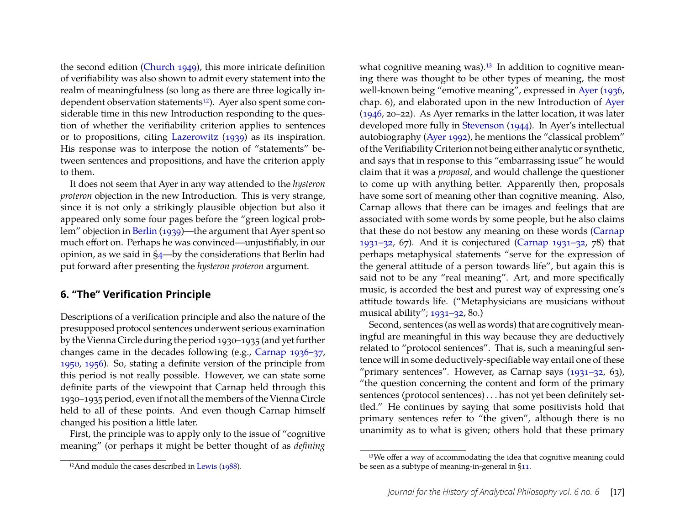the second edition [\(Church](#page-26-1) [1949\)](#page-26-1), this more intricate definition of verifiability was also shown to admit every statement into the realm of meaningfulness (so long as there are three logically independent observation statements<sup>12</sup>). Ayer also spent some considerable time in this new Introduction responding to the question of whether the verifiability criterion applies to sentences or to propositions, citing [Lazerowitz](#page-27-7) [\(1939\)](#page-27-7) as its inspiration. His response was to interpose the notion of "statements" between sentences and propositions, and have the criterion apply to them.

It does not seem that Ayer in any way attended to the *hysteron proteron* objection in the new Introduction. This is very strange, since it is not only a strikingly plausible objection but also it appeared only some four pages before the "green logical problem" objection in [Berlin](#page-25-0) [\(1939\)](#page-25-0)—the argument that Ayer spent so much effort on. Perhaps he was convinced—unjustifiably, in our opinion, as we said in [§4—](#page-5-0)by the considerations that Berlin had put forward after presenting the *hysteron proteron* argument.

#### **6. "The" Verification Principle**

Descriptions of a verification principle and also the nature of the presupposed protocol sentences underwent serious examination by the Vienna Circle during the period 1930–1935 (and yet further changes came in the decades following (e.g., [Carnap](#page-26-0) [1936–37,](#page-26-0) [1950,](#page-26-2) [1956\)](#page-26-3). So, stating a definite version of the principle from this period is not really possible. However, we can state some definite parts of the viewpoint that Carnap held through this 1930–1935 period, even if not all the members of the Vienna Circle held to all of these points. And even though Carnap himself changed his position a little later.

First, the principle was to apply only to the issue of "cognitive meaning" (or perhaps it might be better thought of as *defining*

what cognitive meaning was).<sup>13</sup> In addition to cognitive meaning there was thought to be other types of meaning, the most well-known being "emotive meaning", expressed in [Ayer](#page-25-1) [\(1936,](#page-25-1) chap. 6), and elaborated upon in the new Introduction of [Ayer](#page-25-2) [\(1946,](#page-25-2) 20–22). As Ayer remarks in the latter location, it was later developed more fully in [Stevenson](#page-28-7) [\(1944\)](#page-28-7). In Ayer's intellectual autobiography [\(Ayer](#page-25-6) [1992\)](#page-25-6), he mentions the "classical problem" of the Verifiability Criterion not being either analytic or synthetic, and says that in response to this "embarrassing issue" he would claim that it was a *proposal*, and would challenge the questioner to come up with anything better. Apparently then, proposals have some sort of meaning other than cognitive meaning. Also, Carnap allows that there can be images and feelings that are associated with some words by some people, but he also claims that these do not bestow any meaning on these words [\(Carnap](#page-25-3) [1931–32,](#page-25-3) 67). And it is conjectured [\(Carnap](#page-25-3) [1931–32,](#page-25-3) 78) that perhaps metaphysical statements "serve for the expression of the general attitude of a person towards life", but again this is said not to be any "real meaning". Art, and more specifically music, is accorded the best and purest way of expressing one's attitude towards life. ("Metaphysicians are musicians without musical ability"; [1931–32,](#page-25-3) 80.)

Second, sentences (as well as words) that are cognitively meaningful are meaningful in this way because they are deductively related to "protocol sentences". That is, such a meaningful sentence will in some deductively-specifiable way entail one of these "primary sentences". However, as Carnap says  $(1931-32, 63)$ , "the question concerning the content and form of the primary sentences (protocol sentences) . . . has not yet been definitely settled." He continues by saying that some positivists hold that primary sentences refer to "the given", although there is no unanimity as to what is given; others hold that these primary

<span id="page-10-0"></span><sup>&</sup>lt;sup>12</sup>And modulo the cases described in [Lewis](#page-27-8) [\(1988\)](#page-27-8).

<span id="page-10-1"></span><sup>13</sup>We offer a way of accommodating the idea that cognitive meaning could be seen as a subtype of meaning-in-general in [§11.](#page-22-0)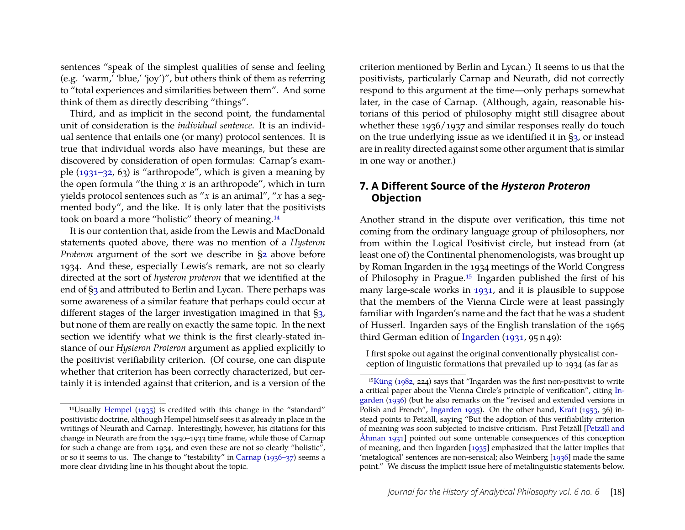sentences "speak of the simplest qualities of sense and feeling (e.g. 'warm,' 'blue,' 'joy')", but others think of them as referring to "total experiences and similarities between them". And some think of them as directly describing "things".

Third, and as implicit in the second point, the fundamental unit of consideration is the *individual sentence*. It is an individual sentence that entails one (or many) protocol sentences. It is true that individual words also have meanings, but these are discovered by consideration of open formulas: Carnap's example [\(1931–32,](#page-25-3) 63) is "arthropode", which is given a meaning by the open formula "the thing  $x$  is an arthropode", which in turn yields protocol sentences such as "*x* is an animal", "*x* has a segmented body", and the like. It is only later that the positivists took on board a more "holistic" theory of meaning[.14](#page-11-0)

It is our contention that, aside from the Lewis and MacDonald statements quoted above, there was no mention of a *Hysteron Proteron* argument of the sort we describe in [§2](#page-1-2) above before 1934. And these, especially Lewis's remark, are not so clearly directed at the sort of *hysteron proteron* that we identified at the end of [§3](#page-2-3) and attributed to Berlin and Lycan. There perhaps was some awareness of a similar feature that perhaps could occur at different stages of the larger investigation imagined in that [§3,](#page-2-3) but none of them are really on exactly the same topic. In the next section we identify what we think is the first clearly-stated instance of our *Hysteron Proteron* argument as applied explicitly to the positivist verifiability criterion. (Of course, one can dispute whether that criterion has been correctly characterized, but certainly it is intended against that criterion, and is a version of the

criterion mentioned by Berlin and Lycan.) It seems to us that the positivists, particularly Carnap and Neurath, did not correctly respond to this argument at the time—only perhaps somewhat later, in the case of Carnap. (Although, again, reasonable historians of this period of philosophy might still disagree about whether these 1936/1937 and similar responses really do touch on the true underlying issue as we identified it in [§3,](#page-2-3) or instead are in reality directed against some other argument that is similar in one way or another.)

#### <span id="page-11-2"></span>**7. A Different Source of the** *Hysteron Proteron* **Objection**

Another strand in the dispute over verification, this time not coming from the ordinary language group of philosophers, nor from within the Logical Positivist circle, but instead from (at least one of) the Continental phenomenologists, was brought up by Roman Ingarden in the 1934 meetings of the World Congress of Philosophy in Prague[.15](#page-11-1) Ingarden published the first of his many large-scale works in [1931,](#page-26-5) and it is plausible to suppose that the members of the Vienna Circle were at least passingly familiar with Ingarden's name and the fact that he was a student of Husserl. Ingarden says of the English translation of the 1965 third German edition of [Ingarden](#page-26-5) [\(1931,](#page-26-5) 95 n 49):

I first spoke out against the original conventionally physicalist conception of linguistic formations that prevailed up to 1934 (as far as

<span id="page-11-0"></span><sup>14</sup>Usually [Hempel](#page-26-4) [\(1935\)](#page-26-4) is credited with this change in the "standard" positivistic doctrine, although Hempel himself sees it as already in place in the writings of Neurath and Carnap. Interestingly, however, his citations for this change in Neurath are from the 1930–1933 time frame, while those of Carnap for such a change are from 1934, and even these are not so clearly "holistic", or so it seems to us. The change to "testability" in [Carnap](#page-26-0) [\(1936–37\)](#page-26-0) seems a more clear dividing line in his thought about the topic.

<span id="page-11-1"></span><sup>1</sup>[5Küng](#page-27-9) [\(1982,](#page-27-9) 224) says that "Ingarden was the first non-positivist to write a critical paper about the Vienna Circle's principle of verification", citing [In](#page-26-6)[garden](#page-26-6) [\(1936\)](#page-26-6) (but he also remarks on the "revised and extended versions in Polish and French", [Ingarden](#page-26-7) [1935\)](#page-26-7). On the other hand, [Kraft](#page-27-10) [\(1953,](#page-27-10) 36) instead points to Petzäll, saying "But the adoption of this verifiability criterion of meaning was soon subjected to incisive criticism. First Petzäll [\[Petzäll and](#page-27-11) [Åhman](#page-27-11) [1931\]](#page-27-11) pointed out some untenable consequences of this conception of meaning, and then Ingarden [\[1935\]](#page-26-7) emphasized that the latter implies that 'metalogical' sentences are non-sensical; also Weinberg [\[1936\]](#page-28-8) made the same point." We discuss the implicit issue here of metalinguistic statements below.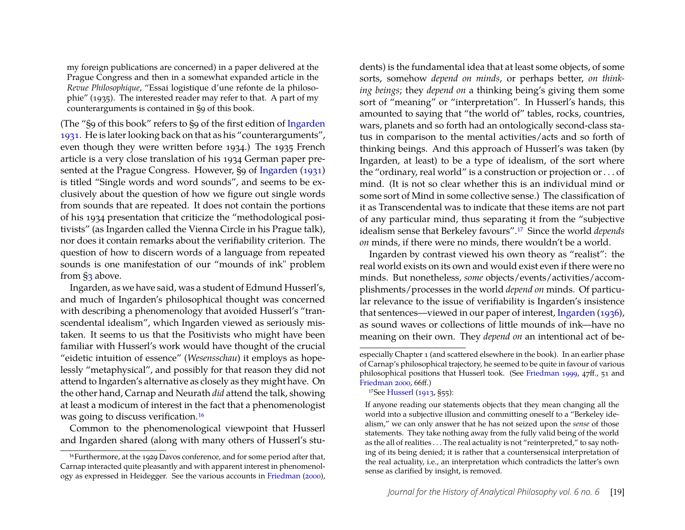my foreign publications are concerned) in a paper delivered at the Prague Congress and then in a somewhat expanded article in the *Revue Philosophique*, "Essai logistique d'une refonte de la philosophie" (1935). The interested reader may refer to that. A part of my counterarguments is contained in §9 of this book.

(The "§9 of this book" refers to §9 of the first edition of [Ingarden](#page-26-5) [1931.](#page-26-5) He is later looking back on that as his "counterarguments", even though they were written before 1934.) The 1935 French article is a very close translation of his 1934 German paper presented at the Prague Congress. However, §9 of [Ingarden](#page-26-5) [\(1931\)](#page-26-5) is titled "Single words and word sounds", and seems to be exclusively about the question of how we figure out single words from sounds that are repeated. It does not contain the portions of his 1934 presentation that criticize the "methodological positivists" (as Ingarden called the Vienna Circle in his Prague talk), nor does it contain remarks about the verifiability criterion. The question of how to discern words of a language from repeated sounds is one manifestation of our "mounds of ink" problem from [§3](#page-2-3) above.

Ingarden, as we have said, was a student of Edmund Husserl's, and much of Ingarden's philosophical thought was concerned with describing a phenomenology that avoided Husserl's "transcendental idealism", which Ingarden viewed as seriously mistaken. It seems to us that the Positivists who might have been familiar with Husserl's work would have thought of the crucial "eidetic intuition of essence" (*Wesensschau*) it employs as hopelessly "metaphysical", and possibly for that reason they did not attend to Ingarden's alternative as closely as they might have. On the other hand, Carnap and Neurath *did* attend the talk, showing at least a modicum of interest in the fact that a phenomenologist was going to discuss verification[.16](#page-12-0)

Common to the phenomenological viewpoint that Husserl and Ingarden shared (along with many others of Husserl's students) is the fundamental idea that at least some objects, of some sorts, somehow *depend on minds*, or perhaps better, *on thinking beings*; they *depend on* a thinking being's giving them some sort of "meaning" or "interpretation". In Husserl's hands, this amounted to saying that "the world of" tables, rocks, countries, wars, planets and so forth had an ontologically second-class status in comparison to the mental activities/acts and so forth of thinking beings. And this approach of Husserl's was taken (by Ingarden, at least) to be a type of idealism, of the sort where the "ordinary, real world" is a construction or projection or . . . of mind. (It is not so clear whether this is an individual mind or some sort of Mind in some collective sense.) The classification of it as Transcendental was to indicate that these items are not part of any particular mind, thus separating it from the "subjective idealism sense that Berkeley favours"[.17](#page-12-1) Since the world *depends on* minds, if there were no minds, there wouldn't be a world.

Ingarden by contrast viewed his own theory as "realist": the real world exists on its own and would exist even if there were no minds. But nonetheless, *some* objects/events/activities/accomplishments/processes in the world *depend on* minds. Of particular relevance to the issue of verifiability is Ingarden's insistence that sentences—viewed in our paper of interest, [Ingarden](#page-26-6) [\(1936\)](#page-26-6), as sound waves or collections of little mounds of ink—have no meaning on their own. They *depend on* an intentional act of be-

<span id="page-12-0"></span><sup>16</sup>Furthermore, at the 1929 Davos conference, and for some period after that, Carnap interacted quite pleasantly and with apparent interest in phenomenology as expressed in Heidegger. See the various accounts in [Friedman](#page-26-8) [\(2000\)](#page-26-8),

especially Chapter 1 (and scattered elsewhere in the book). In an earlier phase of Carnap's philosophical trajectory, he seemed to be quite in favour of various philosophical positions that Husserl took. (See [Friedman](#page-26-9) [1999,](#page-26-9) 47ff., 51 and [Friedman](#page-26-8) [2000,](#page-26-8) 66ff.)

<span id="page-12-1"></span><sup>17</sup>See [Husserl](#page-26-10) [\(1913,](#page-26-10) §55):

If anyone reading our statements objects that they mean changing all the world into a subjective illusion and committing oneself to a "Berkeley idealism," we can only answer that he has not seized upon the *sense* of those statements. They take nothing away from the fully valid being of the world as the all of realities . . . The real actuality is not "reinterpreted," to say nothing of its being denied; it is rather that a countersensical interpretation of the real actuality, i.e., an interpretation which contradicts the latter's own sense as clarified by insight, is removed.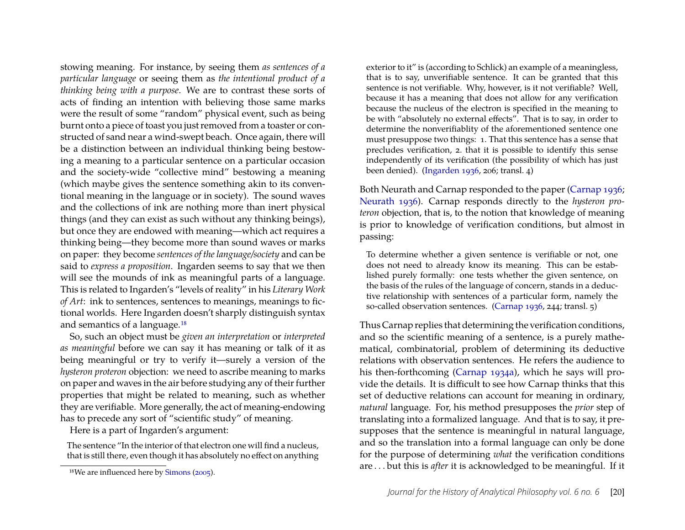stowing meaning. For instance, by seeing them *as sentences of a particular language* or seeing them as *the intentional product of a thinking being with a purpose*. We are to contrast these sorts of acts of finding an intention with believing those same marks were the result of some "random" physical event, such as being burnt onto a piece of toast you just removed from a toaster or constructed of sand near a wind-swept beach. Once again, there will be a distinction between an individual thinking being bestowing a meaning to a particular sentence on a particular occasion and the society-wide "collective mind" bestowing a meaning (which maybe gives the sentence something akin to its conventional meaning in the language or in society). The sound waves and the collections of ink are nothing more than inert physical things (and they can exist as such without any thinking beings), but once they are endowed with meaning—which act requires a thinking being—they become more than sound waves or marks on paper: they become *sentences of the language/society* and can be said to *express a proposition*. Ingarden seems to say that we then will see the mounds of ink as meaningful parts of a language. This is related to Ingarden's "levels of reality" in his *Literary Work of Art*: ink to sentences, sentences to meanings, meanings to fictional worlds. Here Ingarden doesn't sharply distinguish syntax and semantics of a language[.18](#page-13-0)

So, such an object must be *given an interpretation* or *interpreted as meaningful* before we can say it has meaning or talk of it as being meaningful or try to verify it—surely a version of the *hysteron proteron* objection: we need to ascribe meaning to marks on paper and waves in the air before studying any of their further properties that might be related to meaning, such as whether they are verifiable. More generally, the act of meaning-endowing has to precede any sort of "scientific study" of meaning.

Here is a part of Ingarden's argument:

The sentence "In the interior of that electron one will find a nucleus, that is still there, even though it has absolutely no effect on anything

exterior to it" is (according to Schlick) an example of a meaningless, that is to say, unverifiable sentence. It can be granted that this sentence is not verifiable. Why, however, is it not verifiable? Well, because it has a meaning that does not allow for any verification because the nucleus of the electron is specified in the meaning to be with "absolutely no external effects". That is to say, in order to determine the nonverifiablity of the aforementioned sentence one must presuppose two things: 1. That this sentence has a sense that precludes verification, 2. that it is possible to identify this sense independently of its verification (the possibility of which has just been denied). [\(Ingarden](#page-26-6) [1936,](#page-26-6) 206; transl. 4)

Both Neurath and Carnap responded to the paper [\(Carnap](#page-26-11) [1936;](#page-26-11) [Neurath](#page-27-12) [1936\)](#page-27-12). Carnap responds directly to the *hysteron proteron* objection, that is, to the notion that knowledge of meaning is prior to knowledge of verification conditions, but almost in passing:

To determine whether a given sentence is verifiable or not, one does not need to already know its meaning. This can be established purely formally: one tests whether the given sentence, on the basis of the rules of the language of concern, stands in a deductive relationship with sentences of a particular form, namely the so-called observation sentences. [\(Carnap](#page-26-11) [1936,](#page-26-11) 244; transl. 5)

Thus Carnap replies that determining the verification conditions, and so the scientific meaning of a sentence, is a purely mathematical, combinatorial, problem of determining its deductive relations with observation sentences. He refers the audience to his then-forthcoming [\(Carnap](#page-26-12) [1934a\)](#page-26-12), which he says will provide the details. It is difficult to see how Carnap thinks that this set of deductive relations can account for meaning in ordinary, *natural* language. For, his method presupposes the *prior* step of translating into a formalized language. And that is to say, it presupposes that the sentence is meaningful in natural language, and so the translation into a formal language can only be done for the purpose of determining *what* the verification conditions are . . . but this is *after* it is acknowledged to be meaningful. If it

<span id="page-13-0"></span><sup>18</sup>We are influenced here by [Simons](#page-28-9) [\(2005\)](#page-28-9).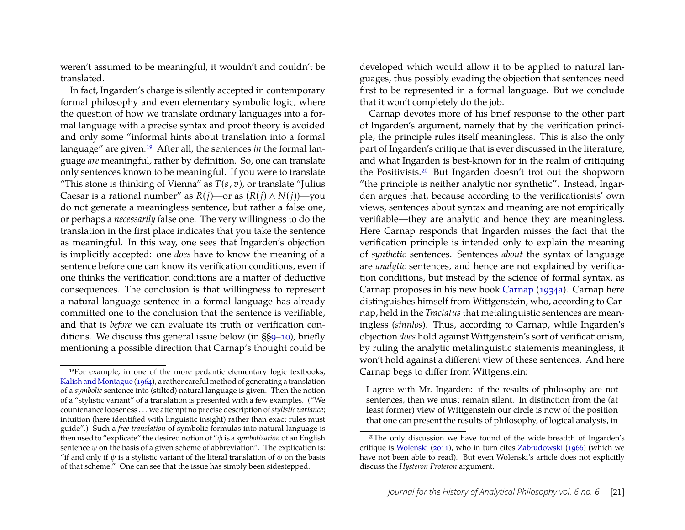weren't assumed to be meaningful, it wouldn't and couldn't be translated.

In fact, Ingarden's charge is silently accepted in contemporary formal philosophy and even elementary symbolic logic, where the question of how we translate ordinary languages into a formal language with a precise syntax and proof theory is avoided and only some "informal hints about translation into a formal language" are given[.19](#page-14-0) After all, the sentences *in* the formal language *are* meaningful, rather by definition. So, one can translate only sentences known to be meaningful. If you were to translate "This stone is thinking of Vienna" as  $T(s, v)$ , or translate "Julius" Caesar is a rational number" as  $R(j)$ —or as  $(R(j) \wedge N(j))$ —you do not generate a meaningless sentence, but rather a false one, or perhaps a *necessarily* false one. The very willingness to do the translation in the first place indicates that you take the sentence as meaningful. In this way, one sees that Ingarden's objection is implicitly accepted: one *does* have to know the meaning of a sentence before one can know its verification conditions, even if one thinks the verification conditions are a matter of deductive consequences. The conclusion is that willingness to represent a natural language sentence in a formal language has already committed one to the conclusion that the sentence is verifiable, and that is *before* we can evaluate its truth or verification conditions. We discuss this general issue below (in §[§9–](#page-17-0)[10\)](#page-19-0), briefly mentioning a possible direction that Carnap's thought could be developed which would allow it to be applied to natural languages, thus possibly evading the objection that sentences need first to be represented in a formal language. But we conclude that it won't completely do the job.

Carnap devotes more of his brief response to the other part of Ingarden's argument, namely that by the verification principle, the principle rules itself meaningless. This is also the only part of Ingarden's critique that is ever discussed in the literature, and what Ingarden is best-known for in the realm of critiquing the Positivists[.20](#page-14-1) But Ingarden doesn't trot out the shopworn "the principle is neither analytic nor synthetic". Instead, Ingarden argues that, because according to the verificationists' own views, sentences about syntax and meaning are not empirically verifiable—they are analytic and hence they are meaningless. Here Carnap responds that Ingarden misses the fact that the verification principle is intended only to explain the meaning of *synthetic* sentences. Sentences *about* the syntax of language are *analytic* sentences, and hence are not explained by verification conditions, but instead by the science of formal syntax, as Carnap proposes in his new book [Carnap](#page-26-12) [\(1934a\)](#page-26-12). Carnap here distinguishes himself from Wittgenstein, who, according to Carnap, held in the *Tractatus*that metalinguistic sentences are meaningless (*sinnlos*). Thus, according to Carnap, while Ingarden's objection *does* hold against Wittgenstein's sort of verificationism, by ruling the analytic metalinguistic statements meaningless, it won't hold against a different view of these sentences. And here Carnap begs to differ from Wittgenstein:

I agree with Mr. Ingarden: if the results of philosophy are not sentences, then we must remain silent. In distinction from the (at least former) view of Wittgenstein our circle is now of the position that one can present the results of philosophy, of logical analysis, in

<span id="page-14-0"></span><sup>19</sup>For example, in one of the more pedantic elementary logic textbooks, Kalish and Montague [\(1964\)](#page-26-13), a rather careful method of generating a translation of a *symbolic* sentence into (stilted) natural language is given. Then the notion of a "stylistic variant" of a translation is presented with a few examples. ("We countenance looseness . . . we attempt no precise description of*stylistic variance*; intuition (here identified with linguistic insight) rather than exact rules must guide".) Such a *free translation* of symbolic formulas into natural language is then used to "explicate" the desired notion of "φ is a *symbolization* of an English sentence  $\psi$  on the basis of a given scheme of abbreviation". The explication is: "if and only if  $\psi$  is a stylistic variant of the literal translation of  $\phi$  on the basis of that scheme." One can see that the issue has simply been sidestepped.

<span id="page-14-1"></span><sup>20</sup>The only discussion we have found of the wide breadth of Ingarden's critique is [Woleński](#page-28-10) [\(2011\)](#page-28-10), who in turn cites [Zabłudowski](#page-28-11) [\(1966\)](#page-28-11) (which we have not been able to read). But even Wolenski's article does not explicitly discuss the *Hysteron Proteron* argument.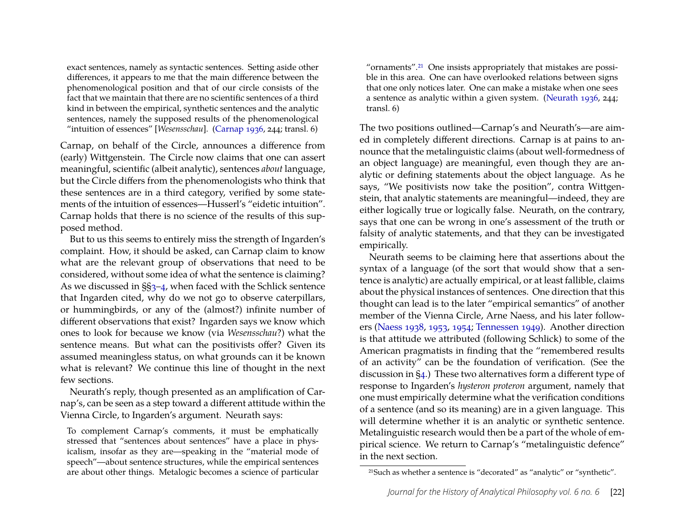exact sentences, namely as syntactic sentences. Setting aside other differences, it appears to me that the main difference between the phenomenological position and that of our circle consists of the fact that we maintain that there are no scientific sentences of a third kind in between the empirical, synthetic sentences and the analytic sentences, namely the supposed results of the phenomenological "intuition of essences" [*Wesensschau*]. [\(Carnap](#page-26-11) [1936,](#page-26-11) 244; transl. 6)

Carnap, on behalf of the Circle, announces a difference from (early) Wittgenstein. The Circle now claims that one can assert meaningful, scientific (albeit analytic), sentences *about* language, but the Circle differs from the phenomenologists who think that these sentences are in a third category, verified by some statements of the intuition of essences—Husserl's "eidetic intuition". Carnap holds that there is no science of the results of this supposed method.

But to us this seems to entirely miss the strength of Ingarden's complaint. How, it should be asked, can Carnap claim to know what are the relevant group of observations that need to be considered, without some idea of what the sentence is claiming? As we discussed in §[§3](#page-2-3)[–4,](#page-5-0) when faced with the Schlick sentence that Ingarden cited, why do we not go to observe caterpillars, or hummingbirds, or any of the (almost?) infinite number of different observations that exist? Ingarden says we know which ones to look for because we know (via *Wesensschau*?) what the sentence means. But what can the positivists offer? Given its assumed meaningless status, on what grounds can it be known what is relevant? We continue this line of thought in the next few sections.

Neurath's reply, though presented as an amplification of Carnap's, can be seen as a step toward a different attitude within the Vienna Circle, to Ingarden's argument. Neurath says:

To complement Carnap's comments, it must be emphatically stressed that "sentences about sentences" have a place in physicalism, insofar as they are—speaking in the "material mode of speech"—about sentence structures, while the empirical sentences are about other things. Metalogic becomes a science of particular

"ornaments".<sup>21</sup> One insists appropriately that mistakes are possible in this area. One can have overlooked relations between signs that one only notices later. One can make a mistake when one sees a sentence as analytic within a given system. [\(Neurath](#page-27-12) [1936,](#page-27-12) 244; transl. 6)

The two positions outlined—Carnap's and Neurath's—are aimed in completely different directions. Carnap is at pains to announce that the metalinguistic claims (about well-formedness of an object language) are meaningful, even though they are analytic or defining statements about the object language. As he says, "We positivists now take the position", contra Wittgenstein, that analytic statements are meaningful—indeed, they are either logically true or logically false. Neurath, on the contrary, says that one can be wrong in one's assessment of the truth or falsity of analytic statements, and that they can be investigated empirically.

Neurath seems to be claiming here that assertions about the syntax of a language (of the sort that would show that a sentence is analytic) are actually empirical, or at least fallible, claims about the physical instances of sentences. One direction that this thought can lead is to the later "empirical semantics" of another member of the Vienna Circle, Arne Naess, and his later followers [\(Naess](#page-27-13) [1938,](#page-27-13) [1953,](#page-27-14) [1954;](#page-27-15) [Tennessen](#page-28-12) [1949\)](#page-28-12). Another direction is that attitude we attributed (following Schlick) to some of the American pragmatists in finding that the "remembered results of an activity" can be the foundation of verification. (See the discussion in [§4.](#page-5-0)) These two alternatives form a different type of response to Ingarden's *hysteron proteron* argument, namely that one must empirically determine what the verification conditions of a sentence (and so its meaning) are in a given language. This will determine whether it is an analytic or synthetic sentence. Metalinguistic research would then be a part of the whole of empirical science. We return to Carnap's "metalinguistic defence" in the next section.

<span id="page-15-0"></span><sup>21</sup>Such as whether a sentence is "decorated" as "analytic" or "synthetic".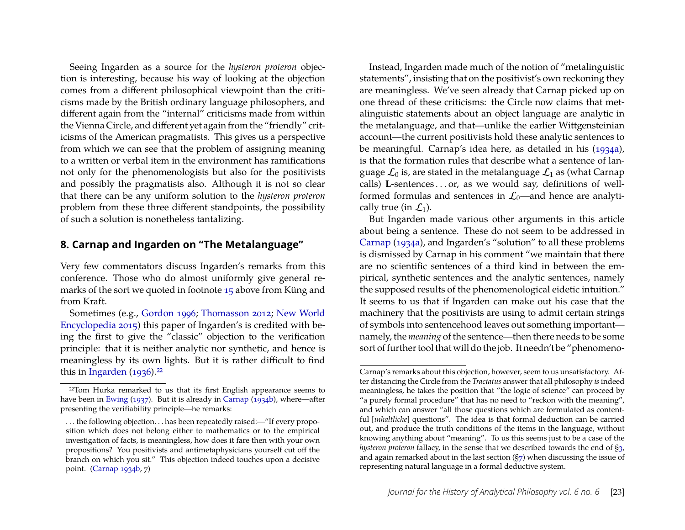Seeing Ingarden as a source for the *hysteron proteron* objection is interesting, because his way of looking at the objection comes from a different philosophical viewpoint than the criticisms made by the British ordinary language philosophers, and different again from the "internal" criticisms made from within the Vienna Circle, and different yet again from the "friendly" criticisms of the American pragmatists. This gives us a perspective from which we can see that the problem of assigning meaning to a written or verbal item in the environment has ramifications not only for the phenomenologists but also for the positivists and possibly the pragmatists also. Although it is not so clear that there can be any uniform solution to the *hysteron proteron* problem from these three different standpoints, the possibility of such a solution is nonetheless tantalizing.

#### **8. Carnap and Ingarden on "The Metalanguage"**

Very few commentators discuss Ingarden's remarks from this conference. Those who do almost uniformly give general remarks of the sort we quoted in footnote [15](#page-11-1) above from Küng and from Kraft.

Sometimes (e.g., [Gordon](#page-26-14) [1996;](#page-26-14) [Thomasson](#page-28-13) [2012;](#page-28-13) [New World](#page-27-16) [Encyclopedia](#page-27-16) [2015\)](#page-27-16) this paper of Ingarden's is credited with being the first to give the "classic" objection to the verification principle: that it is neither analytic nor synthetic, and hence is meaningless by its own lights. But it is rather difficult to find this in [Ingarden](#page-26-6)  $(1936).^{22}$  $(1936).^{22}$ 

Instead, Ingarden made much of the notion of "metalinguistic statements", insisting that on the positivist's own reckoning they are meaningless. We've seen already that Carnap picked up on one thread of these criticisms: the Circle now claims that metalinguistic statements about an object language are analytic in the metalanguage, and that—unlike the earlier Wittgensteinian account—the current positivists hold these analytic sentences to be meaningful. Carnap's idea here, as detailed in his [\(1934a\)](#page-26-12), is that the formation rules that describe what a sentence of language  $\mathcal{L}_0$  is, are stated in the metalanguage  $\mathcal{L}_1$  as (what Carnap calls) L-sentences . . . or, as we would say, definitions of wellformed formulas and sentences in  $\mathcal{L}_0$ —and hence are analytically true (in  $\mathcal{L}_1$ ).

But Ingarden made various other arguments in this article about being a sentence. These do not seem to be addressed in [Carnap](#page-26-12) [\(1934a\)](#page-26-12), and Ingarden's "solution" to all these problems is dismissed by Carnap in his comment "we maintain that there are no scientific sentences of a third kind in between the empirical, synthetic sentences and the analytic sentences, namely the supposed results of the phenomenological eidetic intuition." It seems to us that if Ingarden can make out his case that the machinery that the positivists are using to admit certain strings of symbols into sentencehood leaves out something important namely, the *meaning* of the sentence—then there needs to be some sort of further tool that will do the job. It needn't be "phenomeno-

<span id="page-16-0"></span><sup>&</sup>lt;sup>22</sup>Tom Hurka remarked to us that its first English appearance seems to have been in [Ewing](#page-26-15) [\(1937\)](#page-26-15). But it is already in [Carnap](#page-26-16) [\(1934b\)](#page-26-16), where—after presenting the verifiability principle—he remarks:

<sup>...</sup> the following objection... has been repeatedly raised:—"If every proposition which does not belong either to mathematics or to the empirical investigation of facts, is meaningless, how does it fare then with your own propositions? You positivists and antimetaphysicians yourself cut off the branch on which you sit." This objection indeed touches upon a decisive point. [\(Carnap](#page-26-16) [1934b,](#page-26-16) 7)

Carnap's remarks about this objection, however, seem to us unsatisfactory. After distancing the Circle from the *Tractatus* answer that all philosophy *is*indeed meaningless, he takes the position that "the logic of science" can proceed by "a purely formal procedure" that has no need to "reckon with the meaning", and which can answer "all those questions which are formulated as contentful [*inhaltliche*] questions". The idea is that formal deduction can be carried out, and produce the truth conditions of the items in the language, without knowing anything about "meaning". To us this seems just to be a case of the *hysteron proteron* fallacy, in the sense that we described towards the end of [§3,](#page-2-3) and again remarked about in the last section  $(S7)$  when discussing the issue of representing natural language in a formal deductive system.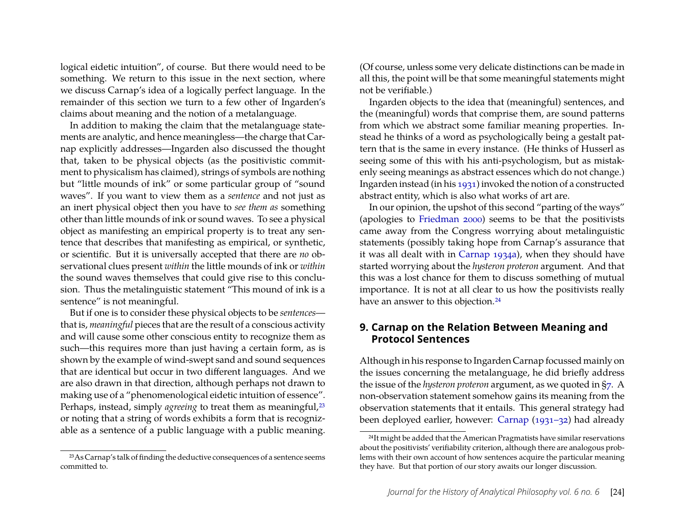logical eidetic intuition", of course. But there would need to be something. We return to this issue in the next section, where we discuss Carnap's idea of a logically perfect language. In the remainder of this section we turn to a few other of Ingarden's claims about meaning and the notion of a metalanguage.

In addition to making the claim that the metalanguage statements are analytic, and hence meaningless—the charge that Carnap explicitly addresses—Ingarden also discussed the thought that, taken to be physical objects (as the positivistic commitment to physicalism has claimed), strings of symbols are nothing but "little mounds of ink" or some particular group of "sound waves". If you want to view them as a *sentence* and not just as an inert physical object then you have to *see them as* something other than little mounds of ink or sound waves. To see a physical object as manifesting an empirical property is to treat any sentence that describes that manifesting as empirical, or synthetic, or scientific. But it is universally accepted that there are *no* observational clues present *within* the little mounds of ink or *within* the sound waves themselves that could give rise to this conclusion. Thus the metalinguistic statement "This mound of ink is a sentence" is not meaningful.

But if one is to consider these physical objects to be *sentences* that is, *meaningful* pieces that are the result of a conscious activity and will cause some other conscious entity to recognize them as such—this requires more than just having a certain form, as is shown by the example of wind-swept sand and sound sequences that are identical but occur in two different languages. And we are also drawn in that direction, although perhaps not drawn to making use of a "phenomenological eidetic intuition of essence". Perhaps, instead, simply *agreeing* to treat them as meaningful,<sup>23</sup> or noting that a string of words exhibits a form that is recognizable as a sentence of a public language with a public meaning.

(Of course, unless some very delicate distinctions can be made in all this, the point will be that some meaningful statements might not be verifiable.)

Ingarden objects to the idea that (meaningful) sentences, and the (meaningful) words that comprise them, are sound patterns from which we abstract some familiar meaning properties. Instead he thinks of a word as psychologically being a gestalt pattern that is the same in every instance. (He thinks of Husserl as seeing some of this with his anti-psychologism, but as mistakenly seeing meanings as abstract essences which do not change.) Ingarden instead (in his [1931\)](#page-26-5) invoked the notion of a constructed abstract entity, which is also what works of art are.

In our opinion, the upshot of this second "parting of the ways" (apologies to [Friedman](#page-26-8) [2000\)](#page-26-8) seems to be that the positivists came away from the Congress worrying about metalinguistic statements (possibly taking hope from Carnap's assurance that it was all dealt with in [Carnap](#page-26-12) [1934a\)](#page-26-12), when they should have started worrying about the *hysteron proteron* argument. And that this was a lost chance for them to discuss something of mutual importance. It is not at all clear to us how the positivists really have an answer to this objection.<sup>24</sup>

#### <span id="page-17-0"></span>**9. Carnap on the Relation Between Meaning and Protocol Sentences**

Although in his response to Ingarden Carnap focussed mainly on the issues concerning the metalanguage, he did briefly address the issue of the *hysteron proteron* argument, as we quoted in [§7.](#page-11-2) A non-observation statement somehow gains its meaning from the observation statements that it entails. This general strategy had been deployed earlier, however: [Carnap](#page-25-3) [\(1931–32\)](#page-25-3) had already

<span id="page-17-1"></span><sup>23</sup>As Carnap's talk of finding the deductive consequences of a sentence seems committed to.

<span id="page-17-2"></span><sup>&</sup>lt;sup>24</sup>It might be added that the American Pragmatists have similar reservations about the positivists' verifiability criterion, although there are analogous problems with their own account of how sentences acquire the particular meaning they have. But that portion of our story awaits our longer discussion.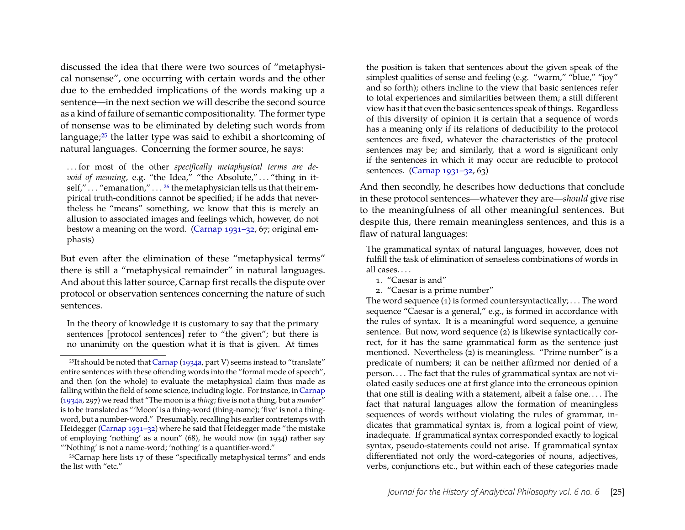discussed the idea that there were two sources of "metaphysical nonsense", one occurring with certain words and the other due to the embedded implications of the words making up a sentence—in the next section we will describe the second source as a kind of failure of semantic compositionality. The former type of nonsense was to be eliminated by deleting such words from language[;25](#page-18-0) the latter type was said to exhibit a shortcoming of natural languages. Concerning the former source, he says:

. . . for most of the other *specifically metaphysical terms are devoid of meaning*, e.g. "the Idea," "the Absolute,"... "thing in it-self," . . . "emanation," . . . <sup>[26](#page-18-1)</sup> the metaphysician tells us that their empirical truth-conditions cannot be specified; if he adds that nevertheless he "means" something, we know that this is merely an allusion to associated images and feelings which, however, do not bestow a meaning on the word. [\(Carnap](#page-25-3) [1931–32,](#page-25-3) 67; original emphasis)

But even after the elimination of these "metaphysical terms" there is still a "metaphysical remainder" in natural languages. And about this latter source, Carnap first recalls the dispute over protocol or observation sentences concerning the nature of such sentences.

In the theory of knowledge it is customary to say that the primary sentences [protocol sentences] refer to "the given"; but there is no unanimity on the question what it is that is given. At times

the position is taken that sentences about the given speak of the simplest qualities of sense and feeling (e.g. "warm," "blue," "joy" and so forth); others incline to the view that basic sentences refer to total experiences and similarities between them; a still different view has it that even the basic sentences speak of things. Regardless of this diversity of opinion it is certain that a sequence of words has a meaning only if its relations of deducibility to the protocol sentences are fixed, whatever the characteristics of the protocol sentences may be; and similarly, that a word is significant only if the sentences in which it may occur are reducible to protocol sentences. [\(Carnap](#page-25-3) [1931–32,](#page-25-3) 63)

And then secondly, he describes how deductions that conclude in these protocol sentences—whatever they are—*should* give rise to the meaningfulness of all other meaningful sentences. But despite this, there remain meaningless sentences, and this is a flaw of natural languages:

The grammatical syntax of natural languages, however, does not fulfill the task of elimination of senseless combinations of words in all cases. . . .

- 1. "Caesar is and"
- 2. "Caesar is a prime number"

The word sequence  $(1)$  is formed countersyntactically; ... The word sequence "Caesar is a general," e.g., is formed in accordance with the rules of syntax. It is a meaningful word sequence, a genuine sentence. But now, word sequence (2) is likewise syntactically correct, for it has the same grammatical form as the sentence just mentioned. Nevertheless (2) is meaningless. "Prime number" is a predicate of numbers; it can be neither affirmed nor denied of a person. . . . The fact that the rules of grammatical syntax are not violated easily seduces one at first glance into the erroneous opinion that one still is dealing with a statement, albeit a false one. . . . The fact that natural languages allow the formation of meaningless sequences of words without violating the rules of grammar, indicates that grammatical syntax is, from a logical point of view, inadequate. If grammatical syntax corresponded exactly to logical syntax, pseudo-statements could not arise. If grammatical syntax differentiated not only the word-categories of nouns, adjectives, verbs, conjunctions etc., but within each of these categories made

<span id="page-18-0"></span><sup>&</sup>lt;sup>25</sup>It should be noted that [Carnap](#page-26-12) [\(1934a,](#page-26-12) part V) seems instead to "translate" entire sentences with these offending words into the "formal mode of speech", and then (on the whole) to evaluate the metaphysical claim thus made as falling within the field of some science, including logic. For instance, in [Carnap](#page-26-12) [\(1934a,](#page-26-12) 297) we read that "The moon is a *thing*; five is not a thing, but a *number*" is to be translated as "'Moon' is a thing-word (thing-name); 'five' is not a thingword, but a number-word." Presumably, recalling his earlier contretemps with Heidegger [\(Carnap](#page-25-3) [1931–32\)](#page-25-3) where he said that Heidegger made "the mistake of employing 'nothing' as a noun" (68), he would now (in 1934) rather say "'Nothing' is not a name-word; 'nothing' is a quantifier-word."

<span id="page-18-1"></span><sup>26</sup>Carnap here lists 17 of these "specifically metaphysical terms" and ends the list with "etc."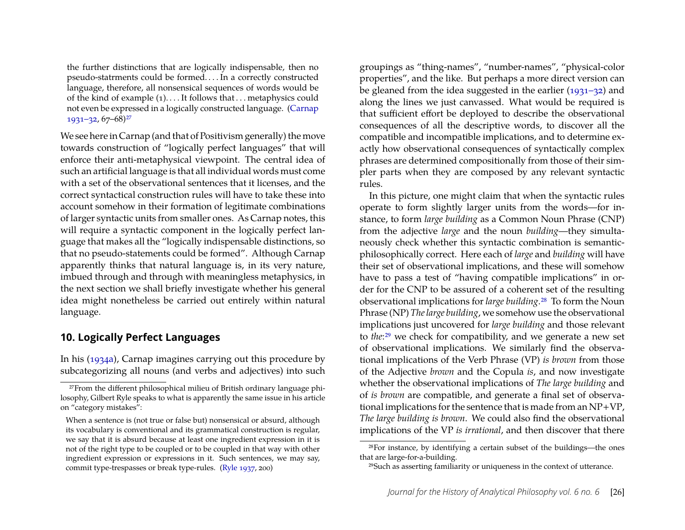the further distinctions that are logically indispensable, then no pseudo-statrments could be formed. . . . In a correctly constructed language, therefore, all nonsensical sequences of words would be of the kind of example (1). . . . It follows that . . . metaphysics could not even be expressed in a logically constructed language. [\(Carnap](#page-25-3)  $1931 - 32, 67 - 68$ <sup>27</sup>

We see here in Carnap (and that of Positivism generally) the move towards construction of "logically perfect languages" that will enforce their anti-metaphysical viewpoint. The central idea of such an artificial language is that all individual words must come with a set of the observational sentences that it licenses, and the correct syntactical construction rules will have to take these into account somehow in their formation of legitimate combinations of larger syntactic units from smaller ones. As Carnap notes, this will require a syntactic component in the logically perfect language that makes all the "logically indispensable distinctions, so that no pseudo-statements could be formed". Although Carnap apparently thinks that natural language is, in its very nature, imbued through and through with meaningless metaphysics, in the next section we shall briefly investigate whether his general idea might nonetheless be carried out entirely within natural language.

#### <span id="page-19-0"></span>**10. Logically Perfect Languages**

In his [\(1934a\)](#page-26-12), Carnap imagines carrying out this procedure by subcategorizing all nouns (and verbs and adjectives) into such groupings as "thing-names", "number-names", "physical-color properties", and the like. But perhaps a more direct version can be gleaned from the idea suggested in the earlier [\(1931–32\)](#page-25-3) and along the lines we just canvassed. What would be required is that sufficient effort be deployed to describe the observational consequences of all the descriptive words, to discover all the compatible and incompatible implications, and to determine exactly how observational consequences of syntactically complex phrases are determined compositionally from those of their simpler parts when they are composed by any relevant syntactic rules.

In this picture, one might claim that when the syntactic rules operate to form slightly larger units from the words—for instance, to form *large building* as a Common Noun Phrase (CNP) from the adjective *large* and the noun *building*—they simultaneously check whether this syntactic combination is semanticphilosophically correct. Here each of *large* and *building* will have their set of observational implications, and these will somehow have to pass a test of "having compatible implications" in order for the CNP to be assured of a coherent set of the resulting observational implications for *large building*[.28](#page-19-2) To form the Noun Phrase (NP) *The large building*, we somehow use the observational implications just uncovered for *large building* and those relevant to *the*[:29](#page-19-3) we check for compatibility, and we generate a new set of observational implications. We similarly find the observational implications of the Verb Phrase (VP) *is brown* from those of the Adjective *brown* and the Copula *is*, and now investigate whether the observational implications of *The large building* and of *is brown* are compatible, and generate a final set of observational implications for the sentence that is made from an NP+VP, *The large building is brown*. We could also find the observational implications of the VP *is irrational*, and then discover that there

<span id="page-19-1"></span><sup>27</sup>From the different philosophical milieu of British ordinary language philosophy, Gilbert Ryle speaks to what is apparently the same issue in his article on "category mistakes":

When a sentence is (not true or false but) nonsensical or absurd, although its vocabulary is conventional and its grammatical construction is regular, we say that it is absurd because at least one ingredient expression in it is not of the right type to be coupled or to be coupled in that way with other ingredient expression or expressions in it. Such sentences, we may say, commit type-trespasses or break type-rules. [\(Ryle](#page-28-14) [1937,](#page-28-14) 200)

<span id="page-19-2"></span><sup>28</sup>For instance, by identifying a certain subset of the buildings—the ones that are large-for-a-building.

<span id="page-19-3"></span><sup>29</sup>Such as asserting familiarity or uniqueness in the context of utterance.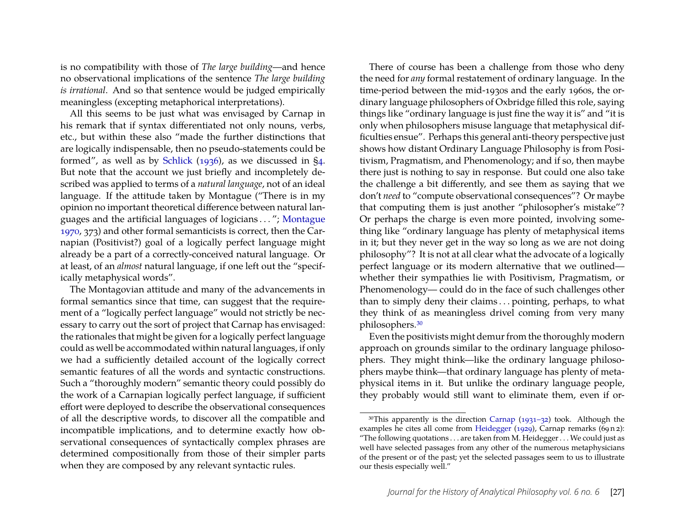is no compatibility with those of *The large building*—and hence no observational implications of the sentence *The large building is irrational*. And so that sentence would be judged empirically meaningless (excepting metaphorical interpretations).

All this seems to be just what was envisaged by Carnap in his remark that if syntax differentiated not only nouns, verbs, etc., but within these also "made the further distinctions that are logically indispensable, then no pseudo-statements could be formed", as well as by [Schlick](#page-28-1) [\(1936\)](#page-28-1), as we discussed in [§4.](#page-5-0) But note that the account we just briefly and incompletely described was applied to terms of a *natural language*, not of an ideal language. If the attitude taken by Montague ("There is in my opinion no important theoretical difference between natural languages and the artificial languages of logicians . . . "; [Montague](#page-27-17) [1970,](#page-27-17) 373) and other formal semanticists is correct, then the Carnapian (Positivist?) goal of a logically perfect language might already be a part of a correctly-conceived natural language. Or at least, of an *almost* natural language, if one left out the "specifically metaphysical words".

The Montagovian attitude and many of the advancements in formal semantics since that time, can suggest that the requirement of a "logically perfect language" would not strictly be necessary to carry out the sort of project that Carnap has envisaged: the rationales that might be given for a logically perfect language could as well be accommodated within natural languages, if only we had a sufficiently detailed account of the logically correct semantic features of all the words and syntactic constructions. Such a "thoroughly modern" semantic theory could possibly do the work of a Carnapian logically perfect language, if sufficient effort were deployed to describe the observational consequences of all the descriptive words, to discover all the compatible and incompatible implications, and to determine exactly how observational consequences of syntactically complex phrases are determined compositionally from those of their simpler parts when they are composed by any relevant syntactic rules.

There of course has been a challenge from those who deny the need for *any* formal restatement of ordinary language. In the time-period between the mid-1930s and the early 1960s, the ordinary language philosophers of Oxbridge filled this role, saying things like "ordinary language is just fine the way it is" and "it is only when philosophers misuse language that metaphysical difficulties ensue". Perhaps this general anti-theory perspective just shows how distant Ordinary Language Philosophy is from Positivism, Pragmatism, and Phenomenology; and if so, then maybe there just is nothing to say in response. But could one also take the challenge a bit differently, and see them as saying that we don't *need* to "compute observational consequences"? Or maybe that computing them is just another "philosopher's mistake"? Or perhaps the charge is even more pointed, involving something like "ordinary language has plenty of metaphysical items in it; but they never get in the way so long as we are not doing philosophy"? It is not at all clear what the advocate of a logically perfect language or its modern alternative that we outlined whether their sympathies lie with Positivism, Pragmatism, or Phenomenology— could do in the face of such challenges other than to simply deny their claims . . . pointing, perhaps, to what they think of as meaningless drivel coming from very many philosophers[.30](#page-20-0)

Even the positivists might demur from the thoroughly modern approach on grounds similar to the ordinary language philosophers. They might think—like the ordinary language philosophers maybe think—that ordinary language has plenty of metaphysical items in it. But unlike the ordinary language people, they probably would still want to eliminate them, even if or-

<span id="page-20-0"></span><sup>30</sup>This apparently is the direction [Carnap](#page-25-3) [\(1931–32\)](#page-25-3) took. Although the examples he cites all come from [Heidegger](#page-26-17) [\(1929\)](#page-26-17), Carnap remarks (69 n 2): "The following quotations . . . are taken from M. Heidegger . . . We could just as well have selected passages from any other of the numerous metaphysicians of the present or of the past; yet the selected passages seem to us to illustrate our thesis especially well."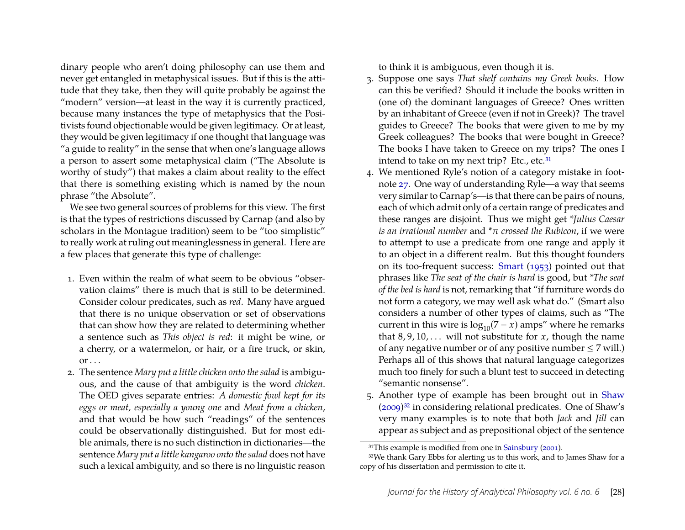dinary people who aren't doing philosophy can use them and never get entangled in metaphysical issues. But if this is the attitude that they take, then they will quite probably be against the "modern" version—at least in the way it is currently practiced, because many instances the type of metaphysics that the Positivists found objectionable would be given legitimacy. Or at least, they would be given legitimacy if one thought that language was "a guide to reality" in the sense that when one's language allows a person to assert some metaphysical claim ("The Absolute is worthy of study") that makes a claim about reality to the effect that there is something existing which is named by the noun phrase "the Absolute".

We see two general sources of problems for this view. The first is that the types of restrictions discussed by Carnap (and also by scholars in the Montague tradition) seem to be "too simplistic" to really work at ruling out meaninglessness in general. Here are a few places that generate this type of challenge:

- 1. Even within the realm of what seem to be obvious "observation claims" there is much that is still to be determined. Consider colour predicates, such as *red*. Many have argued that there is no unique observation or set of observations that can show how they are related to determining whether a sentence such as *This object is red*: it might be wine, or a cherry, or a watermelon, or hair, or a fire truck, or skin,  $or \ldots$
- 2. The sentence *Mary put a little chicken onto the salad* is ambiguous, and the cause of that ambiguity is the word *chicken*. The OED gives separate entries: *A domestic fowl kept for its eggs or meat, especially a young one* and *Meat from a chicken*, and that would be how such "readings" of the sentences could be observationally distinguished. But for most edible animals, there is no such distinction in dictionaries—the sentence *Mary put a little kangaroo onto the salad* does not have such a lexical ambiguity, and so there is no linguistic reason

to think it is ambiguous, even though it is.

- 3. Suppose one says *That shelf contains my Greek books*. How can this be verified? Should it include the books written in (one of) the dominant languages of Greece? Ones written by an inhabitant of Greece (even if not in Greek)? The travel guides to Greece? The books that were given to me by my Greek colleagues? The books that were bought in Greece? The books I have taken to Greece on my trips? The ones I intend to take on my next trip? Etc., etc.<sup>31</sup>
- 4. We mentioned Ryle's notion of a category mistake in footnote [27.](#page-19-1) One way of understanding Ryle—a way that seems very similar to Carnap's—is that there can be pairs of nouns, each of which admit only of a certain range of predicates and these ranges are disjoint. Thus we might get *\*Julius Caesar is an irrational number* and *\**π *crossed the Rubicon*, if we were to attempt to use a predicate from one range and apply it to an object in a different realm. But this thought founders on its too-frequent success: [Smart](#page-28-15) [\(1953\)](#page-28-15) pointed out that phrases like *The seat of the chair is hard* is good, but *\*The seat of the bed is hard* is not, remarking that "if furniture words do not form a category, we may well ask what do." (Smart also considers a number of other types of claims, such as "The current in this wire is  $\log_{10}(7 - x)$  amps" where he remarks that  $8, 9, 10, \ldots$  will not substitute for *x*, though the name of any negative number or of any positive number  $\leq 7$  will.) Perhaps all of this shows that natural language categorizes much too finely for such a blunt test to succeed in detecting "semantic nonsense".
- 5. Another type of example has been brought out in [Shaw](#page-28-16) [\(2009](#page-28-16)[\)32](#page-21-1) in considering relational predicates. One of Shaw's very many examples is to note that both *Jack* and *Jill* can appear as subject and as prepositional object of the sentence

<span id="page-21-1"></span><span id="page-21-0"></span><sup>31</sup>This example is modified from one in [Sainsbury](#page-28-17) [\(2001\)](#page-28-17).

<sup>32</sup>We thank Gary Ebbs for alerting us to this work, and to James Shaw for a copy of his dissertation and permission to cite it.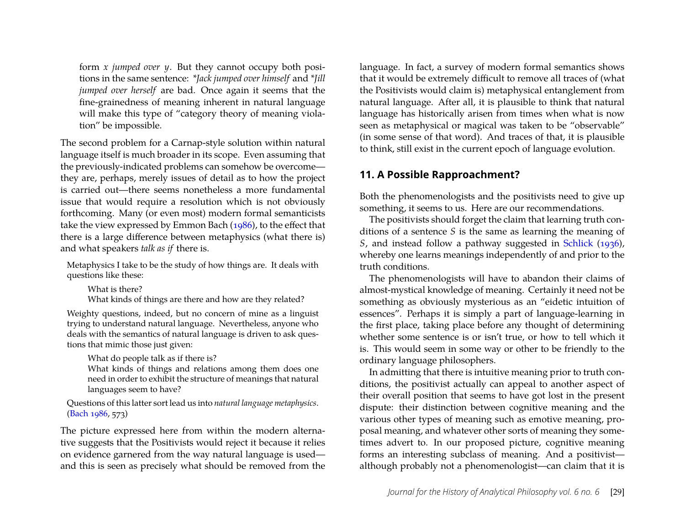form *x jumped over y*. But they cannot occupy both positions in the same sentence: *\*Jack jumped over himself* and *\*Jill jumped over herself* are bad. Once again it seems that the fine-grainedness of meaning inherent in natural language will make this type of "category theory of meaning violation" be impossible.

The second problem for a Carnap-style solution within natural language itself is much broader in its scope. Even assuming that the previously-indicated problems can somehow be overcome they are, perhaps, merely issues of detail as to how the project is carried out—there seems nonetheless a more fundamental issue that would require a resolution which is not obviously forthcoming. Many (or even most) modern formal semanticists take the view expressed by Emmon Bach [\(1986\)](#page-25-7), to the effect that there is a large difference between metaphysics (what there is) and what speakers *talk as if* there is.

Metaphysics I take to be the study of how things are. It deals with questions like these:

What is there?

What kinds of things are there and how are they related?

Weighty questions, indeed, but no concern of mine as a linguist trying to understand natural language. Nevertheless, anyone who deals with the semantics of natural language is driven to ask questions that mimic those just given:

What do people talk as if there is?

What kinds of things and relations among them does one need in order to exhibit the structure of meanings that natural languages seem to have?

Questions of this latter sort lead us into *natural language metaphysics*. [\(Bach](#page-25-7) [1986,](#page-25-7) 573)

The picture expressed here from within the modern alternative suggests that the Positivists would reject it because it relies on evidence garnered from the way natural language is used and this is seen as precisely what should be removed from the

language. In fact, a survey of modern formal semantics shows that it would be extremely difficult to remove all traces of (what the Positivists would claim is) metaphysical entanglement from natural language. After all, it is plausible to think that natural language has historically arisen from times when what is now seen as metaphysical or magical was taken to be "observable" (in some sense of that word). And traces of that, it is plausible to think, still exist in the current epoch of language evolution.

# <span id="page-22-0"></span>**11. A Possible Rapproachment?**

Both the phenomenologists and the positivists need to give up something, it seems to us. Here are our recommendations.

The positivists should forget the claim that learning truth conditions of a sentence *S* is the same as learning the meaning of *S*, and instead follow a pathway suggested in [Schlick](#page-28-1) [\(1936\)](#page-28-1), whereby one learns meanings independently of and prior to the truth conditions.

The phenomenologists will have to abandon their claims of almost-mystical knowledge of meaning. Certainly it need not be something as obviously mysterious as an "eidetic intuition of essences". Perhaps it is simply a part of language-learning in the first place, taking place before any thought of determining whether some sentence is or isn't true, or how to tell which it is. This would seem in some way or other to be friendly to the ordinary language philosophers.

In admitting that there is intuitive meaning prior to truth conditions, the positivist actually can appeal to another aspect of their overall position that seems to have got lost in the present dispute: their distinction between cognitive meaning and the various other types of meaning such as emotive meaning, proposal meaning, and whatever other sorts of meaning they sometimes advert to. In our proposed picture, cognitive meaning forms an interesting subclass of meaning. And a positivist although probably not a phenomenologist—can claim that it is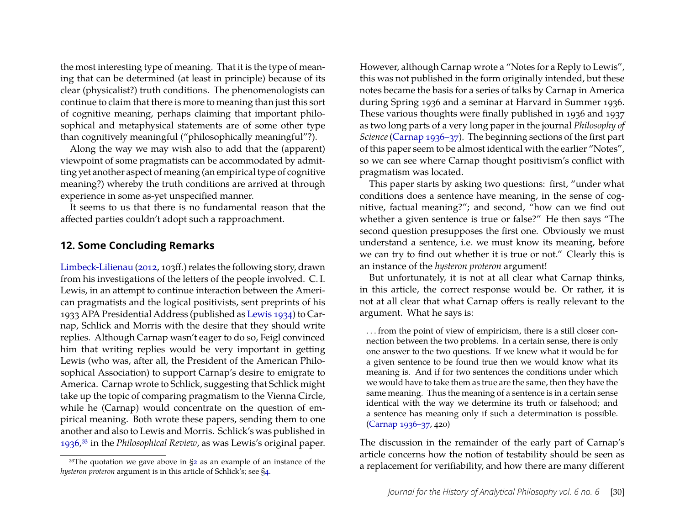the most interesting type of meaning. That it is the type of meaning that can be determined (at least in principle) because of its clear (physicalist?) truth conditions. The phenomenologists can continue to claim that there is more to meaning than just this sort of cognitive meaning, perhaps claiming that important philosophical and metaphysical statements are of some other type than cognitively meaningful ("philosophically meaningful"?).

Along the way we may wish also to add that the (apparent) viewpoint of some pragmatists can be accommodated by admitting yet another aspect of meaning (an empirical type of cognitive meaning?) whereby the truth conditions are arrived at through experience in some as-yet unspecified manner.

It seems to us that there is no fundamental reason that the affected parties couldn't adopt such a rapproachment.

#### <span id="page-23-0"></span>**12. Some Concluding Remarks**

[Limbeck-Lilienau](#page-27-18) [\(2012,](#page-27-18) 103ff.) relates the following story, drawn from his investigations of the letters of the people involved. C. I. Lewis, in an attempt to continue interaction between the American pragmatists and the logical positivists, sent preprints of his 1933 APA Presidential Address (published as [Lewis](#page-27-3) [1934\)](#page-27-3) to Carnap, Schlick and Morris with the desire that they should write replies. Although Carnap wasn't eager to do so, Feigl convinced him that writing replies would be very important in getting Lewis (who was, after all, the President of the American Philosophical Association) to support Carnap's desire to emigrate to America. Carnap wrote to Schlick, suggesting that Schlick might take up the topic of comparing pragmatism to the Vienna Circle, while he (Carnap) would concentrate on the question of empirical meaning. Both wrote these papers, sending them to one another and also to Lewis and Morris. Schlick's was published in [1936](#page-28-1)[,33](#page-23-1) in the *Philosophical Review*, as was Lewis's original paper.

However, although Carnap wrote a "Notes for a Reply to Lewis", this was not published in the form originally intended, but these notes became the basis for a series of talks by Carnap in America during Spring 1936 and a seminar at Harvard in Summer 1936. These various thoughts were finally published in 1936 and 1937 as two long parts of a very long paper in the journal *Philosophy of Science*[\(Carnap](#page-26-0) [1936–37\)](#page-26-0). The beginning sections of the first part of this paper seem to be almost identical with the earlier "Notes", so we can see where Carnap thought positivism's conflict with pragmatism was located.

This paper starts by asking two questions: first, "under what conditions does a sentence have meaning, in the sense of cognitive, factual meaning?"; and second, "how can we find out whether a given sentence is true or false?" He then says "The second question presupposes the first one. Obviously we must understand a sentence, i.e. we must know its meaning, before we can try to find out whether it is true or not." Clearly this is an instance of the *hysteron proteron* argument!

But unfortunately, it is not at all clear what Carnap thinks, in this article, the correct response would be. Or rather, it is not at all clear that what Carnap offers is really relevant to the argument. What he says is:

. . . from the point of view of empiricism, there is a still closer connection between the two problems. In a certain sense, there is only one answer to the two questions. If we knew what it would be for a given sentence to be found true then we would know what its meaning is. And if for two sentences the conditions under which we would have to take them as true are the same, then they have the same meaning. Thus the meaning of a sentence is in a certain sense identical with the way we determine its truth or falsehood; and a sentence has meaning only if such a determination is possible. [\(Carnap](#page-26-0) [1936–37,](#page-26-0) 420)

The discussion in the remainder of the early part of Carnap's article concerns how the notion of testability should be seen as a replacement for verifiability, and how there are many different

<span id="page-23-1"></span><sup>&</sup>lt;sup>33</sup>The quotation we gave above in  $\S$ 2 as an example of an instance of the *hysteron proteron* argument is in this article of Schlick's; see [§4.](#page-5-0)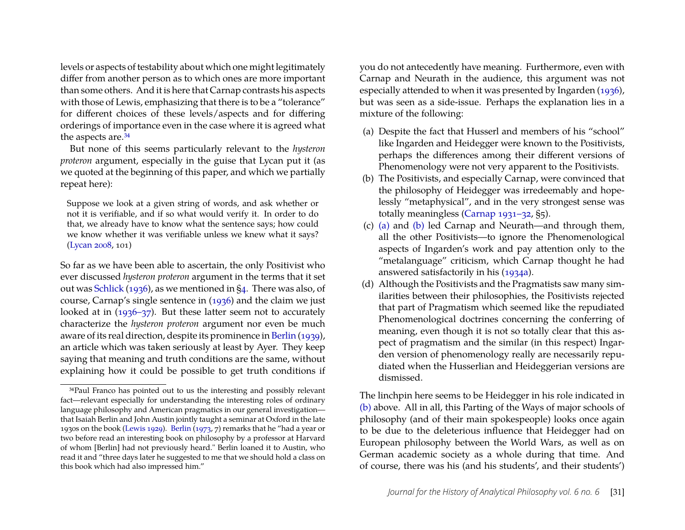levels or aspects of testability about which one might legitimately differ from another person as to which ones are more important than some others. And it is here that Carnap contrasts his aspects with those of Lewis, emphasizing that there is to be a "tolerance" for different choices of these levels/aspects and for differing orderings of importance even in the case where it is agreed what the aspects are.<sup>34</sup>

But none of this seems particularly relevant to the *hysteron proteron* argument, especially in the guise that Lycan put it (as we quoted at the beginning of this paper, and which we partially repeat here):

Suppose we look at a given string of words, and ask whether or not it is verifiable, and if so what would verify it. In order to do that, we already have to know what the sentence says; how could we know whether it was verifiable unless we knew what it says? [\(Lycan](#page-27-0) [2008,](#page-27-0) 101)

So far as we have been able to ascertain, the only Positivist who ever discussed *hysteron proteron* argument in the terms that it set out was [Schlick](#page-28-1) [\(1936\)](#page-28-1), as we mentioned in [§4.](#page-5-0) There was also, of course, Carnap's single sentence in [\(1936\)](#page-26-11) and the claim we just looked at in [\(1936–37\)](#page-26-0). But these latter seem not to accurately characterize the *hysteron proteron* argument nor even be much aware of its real direction, despite its prominence in [Berlin](#page-25-0) [\(1939\)](#page-25-0), an article which was taken seriously at least by Ayer. They keep saying that meaning and truth conditions are the same, without explaining how it could be possible to get truth conditions if you do not antecedently have meaning. Furthermore, even with Carnap and Neurath in the audience, this argument was not especially attended to when it was presented by Ingarden [\(1936\)](#page-26-6), but was seen as a side-issue. Perhaps the explanation lies in a mixture of the following:

- <span id="page-24-1"></span>(a) Despite the fact that Husserl and members of his "school" like Ingarden and Heidegger were known to the Positivists, perhaps the differences among their different versions of Phenomenology were not very apparent to the Positivists.
- <span id="page-24-2"></span>(b) The Positivists, and especially Carnap, were convinced that the philosophy of Heidegger was irredeemably and hopelessly "metaphysical", and in the very strongest sense was totally meaningless [\(Carnap](#page-25-3) [1931–32,](#page-25-3) §5).
- (c) [\(a\)](#page-24-1) and [\(b\)](#page-24-2) led Carnap and Neurath—and through them, all the other Positivists—to ignore the Phenomenological aspects of Ingarden's work and pay attention only to the "metalanguage" criticism, which Carnap thought he had answered satisfactorily in his [\(1934a\)](#page-26-12).
- (d) Although the Positivists and the Pragmatists saw many similarities between their philosophies, the Positivists rejected that part of Pragmatism which seemed like the repudiated Phenomenological doctrines concerning the conferring of meaning, even though it is not so totally clear that this aspect of pragmatism and the similar (in this respect) Ingarden version of phenomenology really are necessarily repudiated when the Husserlian and Heideggerian versions are dismissed.

The linchpin here seems to be Heidegger in his role indicated in [\(b\)](#page-24-2) above. All in all, this Parting of the Ways of major schools of philosophy (and of their main spokespeople) looks once again to be due to the deleterious influence that Heidegger had on European philosophy between the World Wars, as well as on German academic society as a whole during that time. And of course, there was his (and his students', and their students')

<span id="page-24-0"></span><sup>34</sup>Paul Franco has pointed out to us the interesting and possibly relevant fact—relevant especially for understanding the interesting roles of ordinary language philosophy and American pragmatics in our general investigation that Isaiah Berlin and John Austin jointly taught a seminar at Oxford in the late 1930s on the book [\(Lewis](#page-27-1) [1929\)](#page-27-1). [Berlin](#page-25-8) [\(1973,](#page-25-8) 7) remarks that he "had a year or two before read an interesting book on philosophy by a professor at Harvard of whom [Berlin] had not previously heard." Berlin loaned it to Austin, who read it and "three days later he suggested to me that we should hold a class on this book which had also impressed him."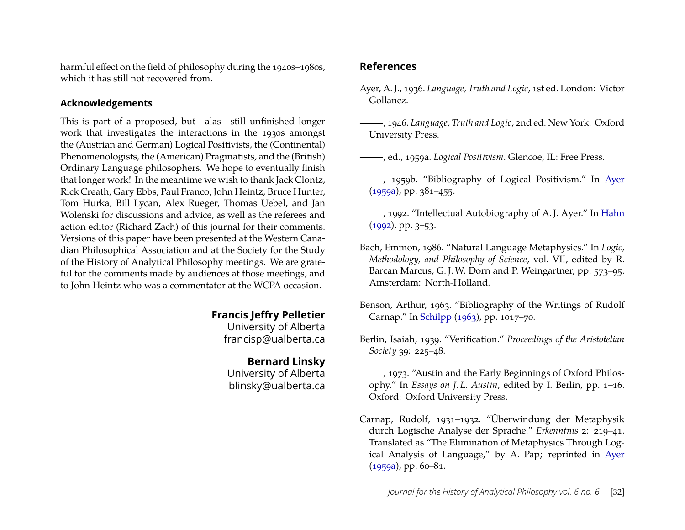harmful effect on the field of philosophy during the 1940s–1980s, which it has still not recovered from.

#### **Acknowledgements**

This is part of a proposed, but—alas—still unfinished longer work that investigates the interactions in the 1930s amongst the (Austrian and German) Logical Positivists, the (Continental) Phenomenologists, the (American) Pragmatists, and the (British) Ordinary Language philosophers. We hope to eventually finish that longer work! In the meantime we wish to thank Jack Clontz, Rick Creath, Gary Ebbs, Paul Franco, John Heintz, Bruce Hunter, Tom Hurka, Bill Lycan, Alex Rueger, Thomas Uebel, and Jan Woleński for discussions and advice, as well as the referees and action editor (Richard Zach) of this journal for their comments. Versions of this paper have been presented at the Western Canadian Philosophical Association and at the Society for the Study of the History of Analytical Philosophy meetings. We are grateful for the comments made by audiences at those meetings, and to John Heintz who was a commentator at the WCPA occasion.

# **Francis Jeffry Pelletier**

University of Alberta francisp@ualberta.ca

#### **Bernard Linsky**

University of Alberta blinsky@ualberta.ca

# **References**

- <span id="page-25-1"></span>Ayer, A. J., 1936. *Language, Truth and Logic*, 1st ed. London: Victor Gollancz.
- <span id="page-25-2"></span>, 1946. *Language, Truth and Logic*, 2nd ed. New York: Oxford University Press.
- <span id="page-25-9"></span>, ed., 1959a. *Logical Positivism*. Glencoe, IL: Free Press.
- <span id="page-25-5"></span>, 1959b. "Bibliography of Logical Positivism." In [Ayer](#page-25-9) [\(1959a\)](#page-25-9), pp. 381–455.
- <span id="page-25-6"></span>(1992), 1992. "Intellectual Autobiography of A.J. Ayer." In [Hahn](#page-26-18) [\(1992\)](#page-26-18), pp. 3–53.
- <span id="page-25-7"></span>Bach, Emmon, 1986. "Natural Language Metaphysics." In *Logic, Methodology, and Philosophy of Science*, vol. VII, edited by R. Barcan Marcus, G. J. W. Dorn and P. Weingartner, pp. 573–95. Amsterdam: North-Holland.
- <span id="page-25-4"></span>Benson, Arthur, 1963. "Bibliography of the Writings of Rudolf Carnap." In [Schilpp](#page-28-18) [\(1963\)](#page-28-18), pp. 1017–70.
- <span id="page-25-0"></span>Berlin, Isaiah, 1939. "Verification." *Proceedings of the Aristotelian Society* 39: 225–48.
- <span id="page-25-8"></span>, 1973. "Austin and the Early Beginnings of Oxford Philosophy." In *Essays on J. L. Austin*, edited by I. Berlin, pp. 1–16. Oxford: Oxford University Press.
- <span id="page-25-3"></span>Carnap, Rudolf, 1931–1932. "Überwindung der Metaphysik durch Logische Analyse der Sprache." *Erkenntnis* 2: 219–41. Translated as "The Elimination of Metaphysics Through Logical Analysis of Language," by A. Pap; reprinted in [Ayer](#page-25-9)  $(1959a)$ , pp. 60–81.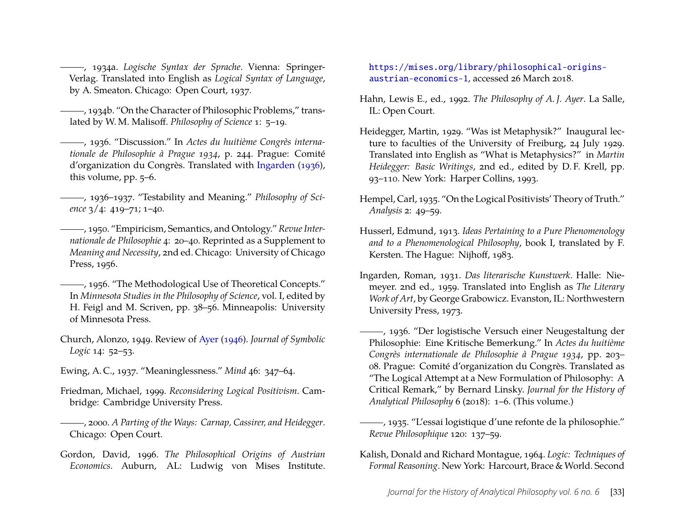<span id="page-26-12"></span>, 1934a. *Logische Syntax der Sprache*. Vienna: Springer-Verlag. Translated into English as *Logical Syntax of Language*, by A. Smeaton. Chicago: Open Court, 1937.

<span id="page-26-16"></span>, 1934b. "On the Character of Philosophic Problems," translated by W. M. Malisoff. *Philosophy of Science* 1: 5–19.

<span id="page-26-11"></span>, 1936. "Discussion." In *Actes du huitième Congrès internationale de Philosophie à Prague 1934*, p. 244. Prague: Comité d'organization du Congrès. Translated with [Ingarden](#page-26-6) [\(1936\)](#page-26-6), this volume, pp. 5–6.

<span id="page-26-0"></span>, 1936–1937. "Testability and Meaning." *Philosophy of Science* 3/4: 419–71; 1–40.

<span id="page-26-2"></span>, 1950. "Empiricism, Semantics, and Ontology." *Revue Internationale de Philosophie* 4: 20–40. Reprinted as a Supplement to *Meaning and Necessity*, 2nd ed. Chicago: University of Chicago Press, 1956.

<span id="page-26-3"></span>, 1956. "The Methodological Use of Theoretical Concepts." In *Minnesota Studies in the Philosophy of Science*, vol. I, edited by H. Feigl and M. Scriven, pp. 38–56. Minneapolis: University of Minnesota Press.

<span id="page-26-1"></span>Church, Alonzo, 1949. Review of [Ayer](#page-25-2) [\(1946\)](#page-25-2). *Journal of Symbolic Logic* 14: 52–53.

- <span id="page-26-15"></span>Ewing, A. C., 1937. "Meaninglessness." *Mind* 46: 347–64.
- <span id="page-26-9"></span>Friedman, Michael, 1999. *Reconsidering Logical Positivism*. Cambridge: Cambridge University Press.

<span id="page-26-8"></span>, 2000. *A Parting of the Ways: Carnap, Cassirer, and Heidegger*. Chicago: Open Court.

<span id="page-26-14"></span>Gordon, David, 1996. *The Philosophical Origins of Austrian Economics*. Auburn, AL: Ludwig von Mises Institute. [https://mises.org/library/philosophical-origins](https://mises.org/library/philosophical-origins-austrian-economics-1)[austrian-economics-1](https://mises.org/library/philosophical-origins-austrian-economics-1), accessed 26 March 2018.

- <span id="page-26-18"></span>Hahn, Lewis E., ed., 1992. *The Philosophy of A. J. Ayer*. La Salle, IL: Open Court.
- <span id="page-26-17"></span>Heidegger, Martin, 1929. "Was ist Metaphysik?" Inaugural lecture to faculties of the University of Freiburg, 24 July 1929. Translated into English as "What is Metaphysics?" in *Martin Heidegger: Basic Writings*, 2nd ed., edited by D. F. Krell, pp. 93–110. New York: Harper Collins, 1993.
- <span id="page-26-4"></span>Hempel, Carl, 1935. "On the Logical Positivists' Theory of Truth." *Analysis* 2: 49–59.
- <span id="page-26-10"></span>Husserl, Edmund, 1913. *Ideas Pertaining to a Pure Phenomenology and to a Phenomenological Philosophy*, book I, translated by F. Kersten. The Hague: Nijhoff, 1983.
- <span id="page-26-5"></span>Ingarden, Roman, 1931. *Das literarische Kunstwerk*. Halle: Niemeyer. 2nd ed., 1959. Translated into English as *The Literary Work of Art*, by George Grabowicz. Evanston, IL: Northwestern University Press, 1973.
- <span id="page-26-6"></span>, 1936. "Der logistische Versuch einer Neugestaltung der Philosophie: Eine Kritische Bemerkung." In *Actes du huitième Congrès internationale de Philosophie à Prague 1934*, pp. 203– 08. Prague: Comité d'organization du Congrès. Translated as "The Logical Attempt at a New Formulation of Philosophy: A Critical Remark," by Bernard Linsky. *Journal for the History of Analytical Philosophy* 6 (2018): 1–6. (This volume.)

<span id="page-26-7"></span>, 1935. "L'essai logistique d'une refonte de la philosophie." *Revue Philosophique* 120: 137–59.

<span id="page-26-13"></span>Kalish, Donald and Richard Montague, 1964. *Logic: Techniques of Formal Reasoning*. New York: Harcourt, Brace & World. Second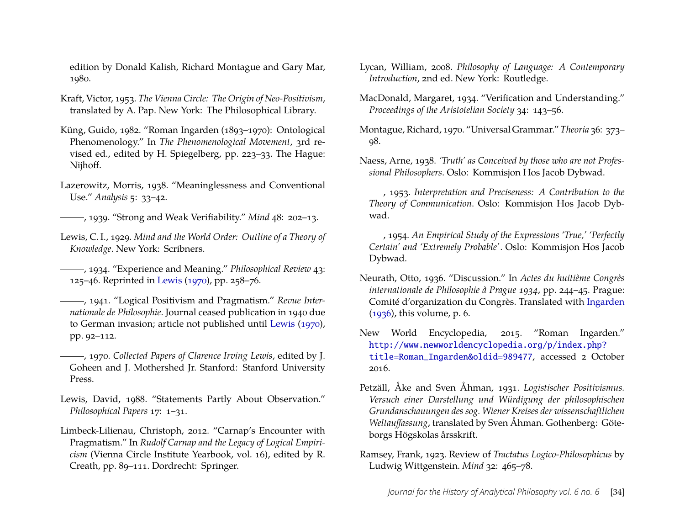edition by Donald Kalish, Richard Montague and Gary Mar, 1980.

- <span id="page-27-10"></span>Kraft, Victor, 1953. *The Vienna Circle: The Origin of Neo-Positivism*, translated by A. Pap. New York: The Philosophical Library.
- <span id="page-27-9"></span>Küng, Guido, 1982. "Roman Ingarden (1893–1970): Ontological Phenomenology." In *The Phenomenological Movement*, 3rd revised ed., edited by H. Spiegelberg, pp. 223–33. The Hague: Nijhoff.
- <span id="page-27-5"></span>Lazerowitz, Morris, 1938. "Meaninglessness and Conventional Use." *Analysis* 5: 33–42.
- <span id="page-27-7"></span>, 1939. "Strong and Weak Verifiability." *Mind* 48: 202–13.
- <span id="page-27-1"></span>Lewis, C. I., 1929. *Mind and the World Order: Outline of a Theory of Knowledge*. New York: Scribners.
- <span id="page-27-3"></span>, 1934. "Experience and Meaning." *Philosophical Review* 43: 125–46. Reprinted in [Lewis](#page-27-19) [\(1970\)](#page-27-19), pp. 258–76.
- <span id="page-27-4"></span>, 1941. "Logical Positivism and Pragmatism." *Revue Internationale de Philosophie*. Journal ceased publication in 1940 due to German invasion; article not published until [Lewis](#page-27-19) [\(1970\)](#page-27-19), pp. 92–112.
- <span id="page-27-19"></span>, 1970. *Collected Papers of Clarence Irving Lewis*, edited by J. Goheen and J. Mothershed Jr. Stanford: Stanford University Press.
- <span id="page-27-8"></span>Lewis, David, 1988. "Statements Partly About Observation." *Philosophical Papers* 17: 1–31.
- <span id="page-27-18"></span>Limbeck-Lilienau, Christoph, 2012. "Carnap's Encounter with Pragmatism." In *Rudolf Carnap and the Legacy of Logical Empiricism* (Vienna Circle Institute Yearbook, vol. 16), edited by R. Creath, pp. 89–111. Dordrecht: Springer.
- <span id="page-27-0"></span>Lycan, William, 2008. *Philosophy of Language: A Contemporary Introduction*, 2nd ed. New York: Routledge.
- <span id="page-27-2"></span>MacDonald, Margaret, 1934. "Verification and Understanding." *Proceedings of the Aristotelian Society* 34: 143–56.
- <span id="page-27-17"></span>Montague, Richard, 1970. "Universal Grammar." *Theoria* 36: 373– 98.
- <span id="page-27-13"></span>Naess, Arne, 1938. *'Truth' as Conceived by those who are not Professional Philosophers*. Oslo: Kommisjon Hos Jacob Dybwad.
- <span id="page-27-14"></span>, 1953. *Interpretation and Preciseness: A Contribution to the Theory of Communication*. Oslo: Kommisjon Hos Jacob Dybwad.
- <span id="page-27-15"></span>, 1954. *An Empirical Study of the Expressions 'True,' 'Perfectly Certain' and 'Extremely Probable'*. Oslo: Kommisjon Hos Jacob Dybwad.
- <span id="page-27-12"></span>Neurath, Otto, 1936. "Discussion." In *Actes du huitième Congrès internationale de Philosophie à Prague 1934*, pp. 244–45. Prague: Comité d'organization du Congrès. Translated with [Ingarden](#page-26-6) [\(1936\)](#page-26-6), this volume, p. 6.
- <span id="page-27-16"></span>New World Encyclopedia, 2015. "Roman Ingarden." [http://www.newworldencyclopedia.org/p/index.php?](http://www.newworldencyclopedia.org/p/index.php?title=Roman_Ingarden&oldid=989477) [title=Roman\\_Ingarden&oldid=989477](http://www.newworldencyclopedia.org/p/index.php?title=Roman_Ingarden&oldid=989477), accessed 2 October 2016.
- <span id="page-27-11"></span>Petzäll, Åke and Sven Åhman, 1931. *Logistischer Positivismus. Versuch einer Darstellung und Würdigung der philosophischen Grundanschauungen des sog. Wiener Kreises der wissenschaftlichen Weltauffassung*, translated by Sven Åhman. Gothenberg: Göteborgs Högskolas årsskrift.
- <span id="page-27-6"></span>Ramsey, Frank, 1923. Review of *Tractatus Logico-Philosophicus* by Ludwig Wittgenstein. *Mind* 32: 465–78.